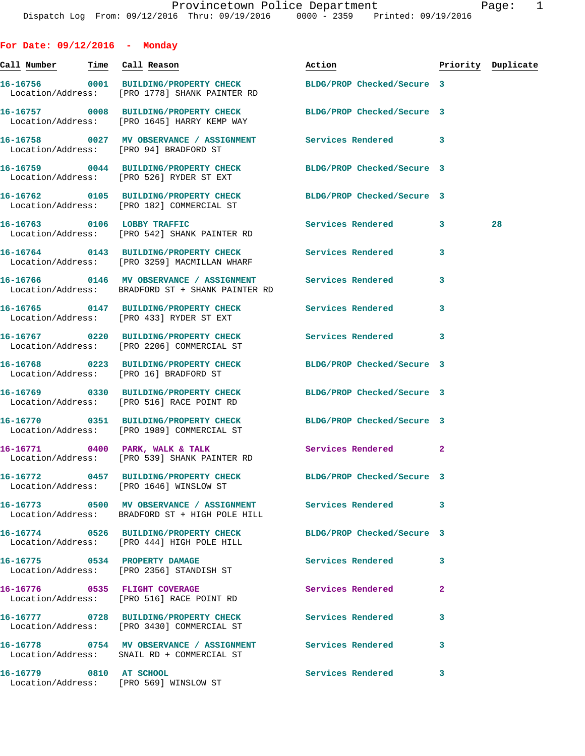| For Date: $09/12/2016$ - Monday        |                                                                                                                   |                            |              |                    |
|----------------------------------------|-------------------------------------------------------------------------------------------------------------------|----------------------------|--------------|--------------------|
| Call <u>Number</u>                     | Time Call Reason                                                                                                  | Action                     |              | Priority Duplicate |
|                                        | 16-16756 0001 BUILDING/PROPERTY CHECK BLDG/PROP Checked/Secure 3<br>Location/Address: [PRO 1778] SHANK PAINTER RD |                            |              |                    |
|                                        | 16-16757 0008 BUILDING/PROPERTY CHECK<br>Location/Address: [PRO 1645] HARRY KEMP WAY                              | BLDG/PROP Checked/Secure 3 |              |                    |
| Location/Address: [PRO 94] BRADFORD ST | 16-16758 0027 MV OBSERVANCE / ASSIGNMENT Services Rendered 3                                                      |                            |              |                    |
|                                        | 16-16759 0044 BUILDING/PROPERTY CHECK BLDG/PROP Checked/Secure 3<br>Location/Address: [PRO 526] RYDER ST EXT      |                            |              |                    |
|                                        | 16-16762 0105 BUILDING/PROPERTY CHECK BLDG/PROP Checked/Secure 3<br>Location/Address: [PRO 182] COMMERCIAL ST     |                            |              |                    |
|                                        | 16-16763 0106 LOBBY TRAFFIC<br>Location/Address: [PRO 542] SHANK PAINTER RD                                       | Services Rendered          | 3            | 28                 |
|                                        | 16-16764 0143 BUILDING/PROPERTY CHECK<br>Location/Address: [PRO 3259] MACMILLAN WHARF                             | <b>Services Rendered</b>   | 3            |                    |
|                                        | 16-16766 0146 MV OBSERVANCE / ASSIGNMENT<br>Location/Address: BRADFORD ST + SHANK PAINTER RD                      | <b>Services Rendered</b>   | 3            |                    |
|                                        | 16-16765 0147 BUILDING/PROPERTY CHECK<br>Location/Address: [PRO 433] RYDER ST EXT                                 | Services Rendered          | 3            |                    |
|                                        | 16-16767 0220 BUILDING/PROPERTY CHECK<br>Location/Address: [PRO 2206] COMMERCIAL ST                               | Services Rendered          | 3            |                    |
| Location/Address: [PRO 16] BRADFORD ST | 16-16768 0223 BUILDING/PROPERTY CHECK BLDG/PROP Checked/Secure 3                                                  |                            |              |                    |
|                                        | 16-16769 0330 BUILDING/PROPERTY CHECK BLDG/PROP Checked/Secure 3<br>Location/Address: [PRO 516] RACE POINT RD     |                            |              |                    |
|                                        | 16-16770 0351 BUILDING/PROPERTY CHECK<br>Location/Address: [PRO 1989] COMMERCIAL ST                               | BLDG/PROP Checked/Secure 3 |              |                    |
| 16-16771 0400 PARK, WALK & TALK        | Location/Address: [PRO 539] SHANK PAINTER RD                                                                      | Services Rendered          | $\mathbf{2}$ |                    |
|                                        | 16-16772 0457 BUILDING/PROPERTY CHECK<br>Location/Address: [PRO 1646] WINSLOW ST                                  | BLDG/PROP Checked/Secure 3 |              |                    |
|                                        | Location/Address: BRADFORD ST + HIGH POLE HILL                                                                    |                            | 3            |                    |
|                                        | 16-16774 0526 BUILDING/PROPERTY CHECK<br>Location/Address: [PRO 444] HIGH POLE HILL                               | BLDG/PROP Checked/Secure 3 |              |                    |
|                                        | 16-16775 0534 PROPERTY DAMAGE<br>Location/Address: [PRO 2356] STANDISH ST                                         | <b>Services Rendered</b>   | 3            |                    |
|                                        | 16-16776 0535 FLIGHT COVERAGE<br>Location/Address: [PRO 516] RACE POINT RD                                        | <b>Services Rendered</b>   | $\mathbf{2}$ |                    |
|                                        | 16-16777 0728 BUILDING/PROPERTY CHECK Services Rendered<br>Location/Address: [PRO 3430] COMMERCIAL ST             |                            | 3            |                    |
|                                        | 16-16778 0754 MV OBSERVANCE / ASSIGNMENT Services Rendered<br>Location/Address: SNAIL RD + COMMERCIAL ST          |                            | 3            |                    |
| 16-16779 0810 AT SCHOOL                | Location/Address: [PRO 569] WINSLOW ST                                                                            | Services Rendered          | 3            |                    |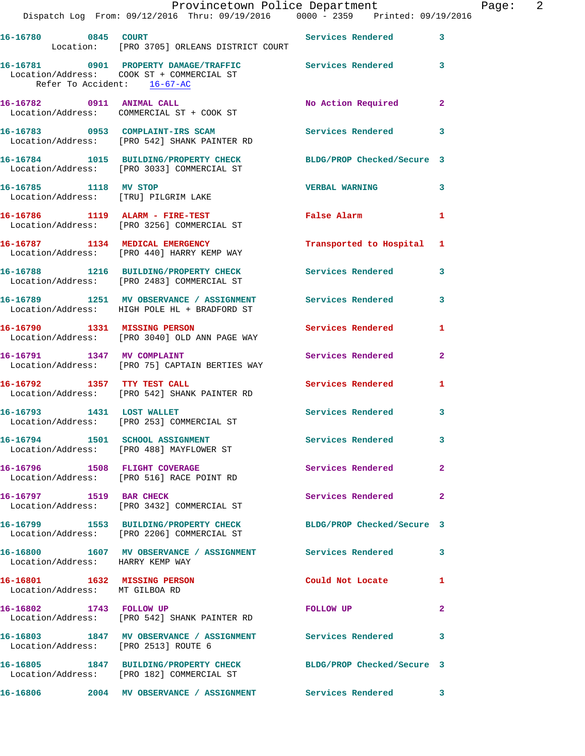|                                                                | Provincetown Police Department<br>Dispatch Log From: 09/12/2016 Thru: 09/19/2016                0000 - 2359                Printed: 09/19/2016 |                            |                | Page: 2 |  |
|----------------------------------------------------------------|------------------------------------------------------------------------------------------------------------------------------------------------|----------------------------|----------------|---------|--|
|                                                                | <b>Services Rendered</b> 3                                                                                                                     |                            |                |         |  |
| Refer To Accident: 16-67-AC                                    | 16-16781 0901 PROPERTY DAMAGE/TRAFFIC Services Rendered 3<br>Location/Address: COOK ST + COMMERCIAL ST                                         |                            |                |         |  |
|                                                                | 16-16782 0911 ANIMAL CALL<br>Location/Address: COMMERCIAL ST + COOK ST                                                                         | No Action Required 2       |                |         |  |
|                                                                | 16-16783 0953 COMPLAINT-IRS SCAM<br>Location/Address: [PRO 542] SHANK PAINTER RD                                                               | Services Rendered 3        |                |         |  |
|                                                                | 16-16784 1015 BUILDING/PROPERTY CHECK BLDG/PROP Checked/Secure 3<br>Location/Address: [PRO 3033] COMMERCIAL ST                                 |                            |                |         |  |
| 16-16785 1118 MV STOP<br>Location/Address: [TRU] PILGRIM LAKE  |                                                                                                                                                | VERBAL WARNING 3           |                |         |  |
|                                                                | 16-16786 1119 ALARM - FIRE-TEST<br>Location/Address: [PRO 3256] COMMERCIAL ST                                                                  | False Alarm 1              |                |         |  |
|                                                                | 16-16787 1134 MEDICAL EMERGENCY<br>Location/Address: [PRO 440] HARRY KEMP WAY                                                                  | Transported to Hospital 1  |                |         |  |
|                                                                | 16-16788 1216 BUILDING/PROPERTY CHECK Services Rendered 3<br>Location/Address: [PRO 2483] COMMERCIAL ST                                        |                            |                |         |  |
|                                                                | 16-16789 1251 MV OBSERVANCE / ASSIGNMENT Services Rendered 3<br>Location/Address: HIGH POLE HL + BRADFORD ST                                   |                            |                |         |  |
|                                                                | 16-16790 1331 MISSING PERSON<br>Location/Address: [PRO 3040] OLD ANN PAGE WAY                                                                  | Services Rendered 1        |                |         |  |
|                                                                | 16-16791 1347 MV COMPLAINT<br>Location/Address: [PRO 75] CAPTAIN BERTIES WAY                                                                   | Services Rendered          | $\mathbf{2}$   |         |  |
|                                                                | 16-16792 1357 TTY TEST CALL<br>Location/Address: [PRO 542] SHANK PAINTER RD                                                                    | <b>Services Rendered</b>   | 1              |         |  |
|                                                                | 16-16793 1431 LOST WALLET<br>Location/Address: [PRO 253] COMMERCIAL ST                                                                         | Services Rendered 3        |                |         |  |
|                                                                | 16-16794 1501 SCHOOL ASSIGNMENT<br>Location/Address: [PRO 488] MAYFLOWER ST                                                                    | <b>Services Rendered</b> 3 |                |         |  |
|                                                                | 16-16796 1508 FLIGHT COVERAGE<br>Location/Address: [PRO 516] RACE POINT RD                                                                     | <b>Services Rendered</b>   | $\mathbf{2}$   |         |  |
| 16-16797 1519 BAR CHECK                                        | Location/Address: [PRO 3432] COMMERCIAL ST                                                                                                     | Services Rendered          | $\overline{2}$ |         |  |
|                                                                | 16-16799 1553 BUILDING/PROPERTY CHECK<br>Location/Address: [PRO 2206] COMMERCIAL ST                                                            | BLDG/PROP Checked/Secure 3 |                |         |  |
| Location/Address: HARRY KEMP WAY                               | 16-16800 1607 MV OBSERVANCE / ASSIGNMENT Services Rendered 3                                                                                   |                            |                |         |  |
| 16-16801 1632 MISSING PERSON<br>Location/Address: MT GILBOA RD |                                                                                                                                                | Could Not Locate           | $\mathbf{1}$   |         |  |
|                                                                | 16-16802 1743 FOLLOW UP<br>Location/Address: [PRO 542] SHANK PAINTER RD                                                                        | FOLLOW UP                  | $\mathbf{2}$   |         |  |
| Location/Address: [PRO 2513] ROUTE 6                           | 16-16803 1847 MV OBSERVANCE / ASSIGNMENT Services Rendered                                                                                     |                            | 3              |         |  |
|                                                                | 16-16805 1847 BUILDING/PROPERTY CHECK BLDG/PROP Checked/Secure 3<br>Location/Address: [PRO 182] COMMERCIAL ST                                  |                            |                |         |  |
|                                                                | 16-16806 2004 MV OBSERVANCE / ASSIGNMENT Services Rendered 3                                                                                   |                            |                |         |  |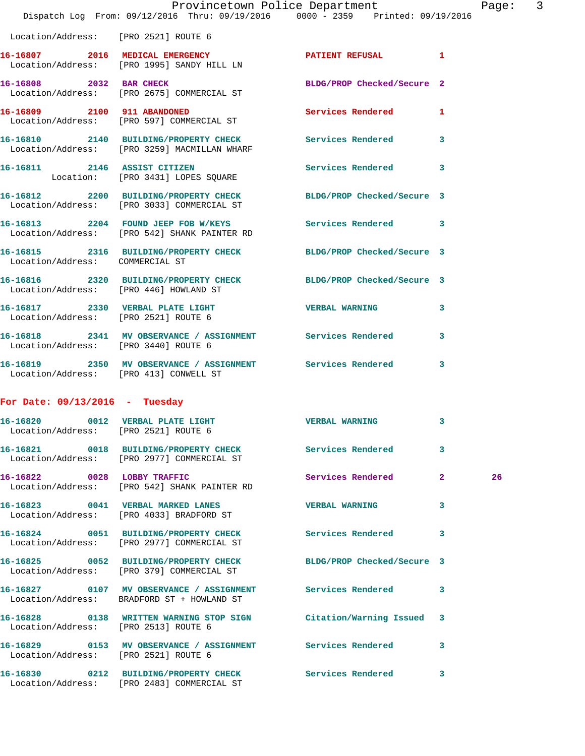|                                        | Provincetown Police Department<br>Dispatch Log From: 09/12/2016 Thru: 09/19/2016 0000 - 2359 Printed: 09/19/2016 |                            | Page:                   | 3 |
|----------------------------------------|------------------------------------------------------------------------------------------------------------------|----------------------------|-------------------------|---|
| Location/Address: [PRO 2521] ROUTE 6   |                                                                                                                  |                            |                         |   |
|                                        | 16-16807 2016 MEDICAL EMERGENCY PATIENT REFUSAL 1<br>Location/Address: [PRO 1995] SANDY HILL LN                  |                            |                         |   |
|                                        | 16-16808 2032 BAR CHECK<br>Location/Address: [PRO 2675] COMMERCIAL ST                                            | BLDG/PROP Checked/Secure 2 |                         |   |
|                                        | 16-16809 2100 911 ABANDONED 2000 Services Rendered 1<br>Location/Address: [PRO 597] COMMERCIAL ST                |                            |                         |   |
|                                        | 16-16810 2140 BUILDING/PROPERTY CHECK Services Rendered 3<br>Location/Address: [PRO 3259] MACMILLAN WHARF        |                            |                         |   |
|                                        | 16-16811 2146 ASSIST CITIZEN<br>Location: [PRO 3431] LOPES SQUARE                                                | Services Rendered          | 3                       |   |
|                                        | 16-16812 2200 BUILDING/PROPERTY CHECK BLDG/PROP Checked/Secure 3<br>Location/Address: [PRO 3033] COMMERCIAL ST   |                            |                         |   |
|                                        | 16-16813 2204 FOUND JEEP FOB W/KEYS Services Rendered 3<br>Location/Address: [PRO 542] SHANK PAINTER RD          |                            |                         |   |
| Location/Address: COMMERCIAL ST        | 16-16815 2316 BUILDING/PROPERTY CHECK BLDG/PROP Checked/Secure 3                                                 |                            |                         |   |
|                                        | 16-16816  2320 BUILDING/PROPERTY CHECK BLDG/PROP Checked/Secure 3<br>Location/Address: [PRO 446] HOWLAND ST      |                            |                         |   |
| Location/Address: [PRO 2521] ROUTE 6   | 16-16817 2330 VERBAL PLATE LIGHT WERBAL WARNING                                                                  |                            | 3                       |   |
| Location/Address: [PRO 3440] ROUTE 6   | 16-16818 2341 MV OBSERVANCE / ASSIGNMENT Services Rendered                                                       |                            | 3                       |   |
| Location/Address: [PRO 413] CONWELL ST | 16-16819 2350 MV OBSERVANCE / ASSIGNMENT Services Rendered                                                       |                            | 3                       |   |
| For Date: $09/13/2016$ - Tuesday       |                                                                                                                  |                            |                         |   |
| Location/Address: [PRO 2521] ROUTE 6   | 16-16820 0012 VERBAL PLATE LIGHT                                                                                 | <b>VERBAL WARNING</b>      |                         |   |
|                                        | 16-16821 0018 BUILDING/PROPERTY CHECK<br>Location/Address: [PRO 2977] COMMERCIAL ST                              | <b>Services Rendered</b>   | $\overline{\mathbf{3}}$ |   |
| 16-16822 0028 LOBBY TRAFFIC            | Location/Address: [PRO 542] SHANK PAINTER RD                                                                     | Services Rendered 2        | 26                      |   |
|                                        | 16-16823 0041 VERBAL MARKED LANES<br>Location/Address: [PRO 4033] BRADFORD ST                                    | <b>VERBAL WARNING</b>      | 3                       |   |
|                                        | 16-16824 0051 BUILDING/PROPERTY CHECK Services Rendered<br>Location/Address: [PRO 2977] COMMERCIAL ST            |                            | 3                       |   |
|                                        | 16-16825 0052 BUILDING/PROPERTY CHECK<br>Location/Address: [PRO 379] COMMERCIAL ST                               | BLDG/PROP Checked/Secure 3 |                         |   |
|                                        | 16-16827 0107 MV OBSERVANCE / ASSIGNMENT Services Rendered<br>Location/Address: BRADFORD ST + HOWLAND ST         |                            | 3                       |   |
| Location/Address: [PRO 2513] ROUTE 6   | 16-16828 0138 WRITTEN WARNING STOP SIGN Citation/Warning Issued 3                                                |                            |                         |   |
| Location/Address: [PRO 2521] ROUTE 6   | 16-16829 0153 MV OBSERVANCE / ASSIGNMENT Services Rendered                                                       |                            | 3                       |   |
|                                        | 16-16830 0212 BUILDING/PROPERTY CHECK Services Rendered                                                          |                            | 3                       |   |

Location/Address: [PRO 2483] COMMERCIAL ST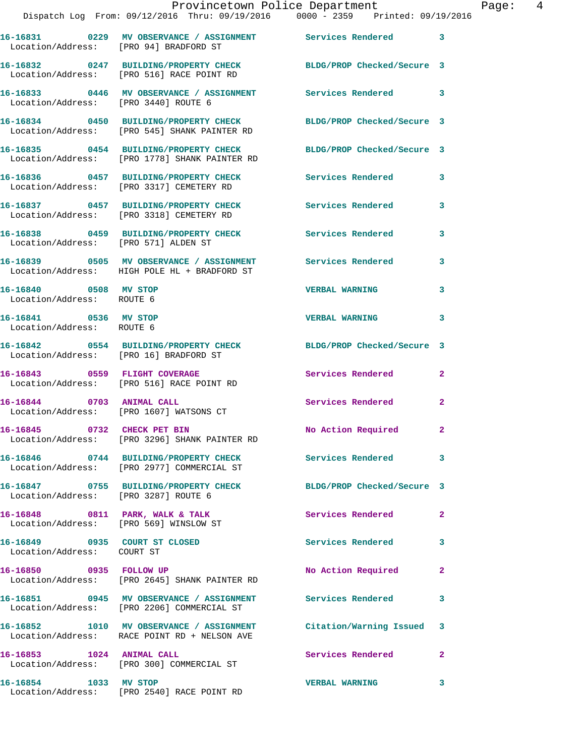|                                                             | Dispatch Log From: 09/12/2016 Thru: 09/19/2016   0000 - 2359   Printed: 09/19/2016                                | Provincetown Police Department Fage: 4 |              |
|-------------------------------------------------------------|-------------------------------------------------------------------------------------------------------------------|----------------------------------------|--------------|
|                                                             | 16-16831 0229 MV OBSERVANCE / ASSIGNMENT Services Rendered 3<br>Location/Address: [PRO 94] BRADFORD ST            |                                        |              |
|                                                             | 16-16832 0247 BUILDING/PROPERTY CHECK BLDG/PROP Checked/Secure 3<br>Location/Address: [PRO 516] RACE POINT RD     |                                        |              |
|                                                             | 16-16833 0446 MV OBSERVANCE / ASSIGNMENT Services Rendered 3<br>Location/Address: [PRO 3440] ROUTE 6              |                                        |              |
|                                                             | 16-16834 0450 BUILDING/PROPERTY CHECK BLDG/PROP Checked/Secure 3<br>Location/Address: [PRO 545] SHANK PAINTER RD  |                                        |              |
|                                                             | 16-16835 0454 BUILDING/PROPERTY CHECK BLDG/PROP Checked/Secure 3<br>Location/Address: [PRO 1778] SHANK PAINTER RD |                                        |              |
|                                                             | 16-16836 0457 BUILDING/PROPERTY CHECK Services Rendered<br>Location/Address: [PRO 3317] CEMETERY RD               |                                        | 3            |
|                                                             | 16-16837 0457 BUILDING/PROPERTY CHECK Services Rendered 3<br>Location/Address: [PRO 3318] CEMETERY RD             |                                        |              |
| Location/Address: [PRO 571] ALDEN ST                        | 16-16838 0459 BUILDING/PROPERTY CHECK Services Rendered                                                           |                                        | 3            |
|                                                             | 16-16839 0505 MV OBSERVANCE / ASSIGNMENT Services Rendered 3<br>Location/Address: HIGH POLE HL + BRADFORD ST      |                                        |              |
| 16-16840 0508 MV STOP<br>Location/Address: ROUTE 6          |                                                                                                                   | <b>VERBAL WARNING</b>                  | 3            |
| 16-16841 0536 MV STOP<br>Location/Address: ROUTE 6          |                                                                                                                   | <b>VERBAL WARNING</b>                  | 3            |
|                                                             | 16-16842 0554 BUILDING/PROPERTY CHECK BLDG/PROP Checked/Secure 3<br>Location/Address: [PRO 16] BRADFORD ST        |                                        |              |
|                                                             | 16-16843 0559 FLIGHT COVERAGE<br>Location/Address: [PRO 516] RACE POINT RD                                        | Services Rendered                      | $\mathbf{2}$ |
|                                                             | 16-16844 0703 ANIMAL CALL<br>Location/Address: [PRO 1607] WATSONS CT                                              | Services Rendered                      | $\mathbf{2}$ |
| 16-16845 0732 CHECK PET BIN                                 | Location/Address: [PRO 3296] SHANK PAINTER RD                                                                     | No Action Required 2                   |              |
|                                                             | 16-16846 0744 BUILDING/PROPERTY CHECK Services Rendered<br>Location/Address: [PRO 2977] COMMERCIAL ST             |                                        | 3            |
| Location/Address: [PRO 3287] ROUTE 6                        | 16-16847 0755 BUILDING/PROPERTY CHECK                                                                             | BLDG/PROP Checked/Secure 3             |              |
| Location/Address: [PRO 569] WINSLOW ST                      | 16-16848 0811 PARK, WALK & TALK                                                                                   | <b>Services Rendered</b>               | $\mathbf{2}$ |
| 16-16849 0935 COURT ST CLOSED<br>Location/Address: COURT ST |                                                                                                                   | <b>Services Rendered</b>               | $\mathbf{3}$ |
|                                                             | 16-16850 0935 FOLLOW UP<br>Location/Address: [PRO 2645] SHANK PAINTER RD                                          | No Action Required                     | 2            |
|                                                             | 16-16851 0945 MV OBSERVANCE / ASSIGNMENT Services Rendered<br>Location/Address: [PRO 2206] COMMERCIAL ST          |                                        | 3            |
|                                                             | 16-16852 1010 MV OBSERVANCE / ASSIGNMENT<br>Location/Address: RACE POINT RD + NELSON AVE                          | Citation/Warning Issued 3              |              |
| 16-16853 1024 ANIMAL CALL                                   | Location/Address: [PRO 300] COMMERCIAL ST                                                                         | Services Rendered                      | $\mathbf{2}$ |
|                                                             | 16-16854 1033 MV STOP<br>Location/Address: [PRO 2540] RACE POINT RD                                               | <b>VERBAL WARNING</b>                  | 3            |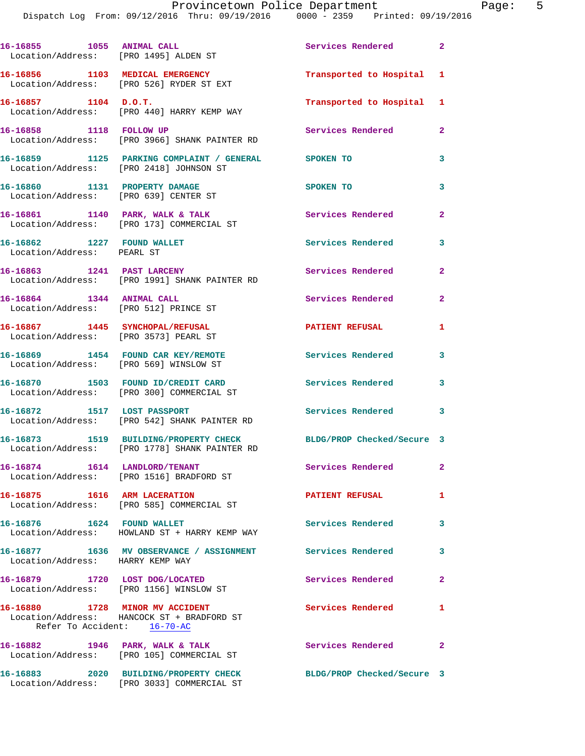Dispatch Log From: 09/12/2016 Thru: 09/19/2016 0000 - 2359 Printed: 09/19/2016

| 16-16855 1055 ANIMAL CALL<br>Location/Address: [PRO 1495] ALDEN ST       |                                                                                                | Services Rendered 2         |                         |
|--------------------------------------------------------------------------|------------------------------------------------------------------------------------------------|-----------------------------|-------------------------|
|                                                                          | 16-16856 1103 MEDICAL EMERGENCY<br>Location/Address: [PRO 526] RYDER ST EXT                    | Transported to Hospital 1   |                         |
| 16-16857 1104 D.O.T.                                                     | Location/Address: [PRO 440] HARRY KEMP WAY                                                     | Transported to Hospital 1   |                         |
| 16-16858 1118 FOLLOW UP                                                  | Location/Address: [PRO 3966] SHANK PAINTER RD                                                  | Services Rendered           | $\overline{2}$          |
|                                                                          | 16-16859 1125 PARKING COMPLAINT / GENERAL SPOKEN TO<br>Location/Address: [PRO 2418] JOHNSON ST |                             | 3                       |
| 16-16860 1131 PROPERTY DAMAGE<br>Location/Address: [PRO 639] CENTER ST   |                                                                                                | SPOKEN TO                   | 3                       |
| 16-16861 1140 PARK, WALK & TALK                                          | Location/Address: [PRO 173] COMMERCIAL ST                                                      | Services Rendered           | $\overline{2}$          |
| 16-16862 1227 FOUND WALLET<br>Location/Address: PEARL ST                 |                                                                                                | Services Rendered           | 3                       |
| 16-16863 1241 PAST LARCENY                                               | Location/Address: [PRO 1991] SHANK PAINTER RD                                                  | <b>Services Rendered</b>    | $\overline{2}$          |
| 16-16864 1344 ANIMAL CALL<br>Location/Address: [PRO 512] PRINCE ST       |                                                                                                | Services Rendered           | $\overline{a}$          |
| 16-16867 1445 SYNCHOPAL/REFUSAL<br>Location/Address: [PRO 3573] PEARL ST |                                                                                                | <b>PATIENT REFUSAL</b>      | $\mathbf{1}$            |
| Location/Address: [PRO 569] WINSLOW ST                                   | 16-16869 1454 FOUND CAR KEY/REMOTE                                                             | <b>Services Rendered</b>    | 3                       |
|                                                                          | 16-16870 1503 FOUND ID/CREDIT CARD<br>Location/Address: [PRO 300] COMMERCIAL ST                | Services Rendered           | $\mathbf{3}$            |
|                                                                          | 16-16872 1517 LOST PASSPORT<br>Location/Address: [PRO 542] SHANK PAINTER RD                    | Services Rendered           | $\overline{\mathbf{3}}$ |
|                                                                          | 16-16873 1519 BUILDING/PROPERTY CHECK<br>Location/Address: [PRO 1778] SHANK PAINTER RD         | BLDG/PROP Checked/Secure 3  |                         |
| 16-16874   1614 LANDLORD/TENANT                                          | Location/Address: [PRO 1516] BRADFORD ST                                                       | Services Rendered           | $\mathbf{2}$            |
| 16-16875 1616 ARM LACERATION                                             | Location/Address: [PRO 585] COMMERCIAL ST                                                      | <b>PATIENT REFUSAL</b>      | 1                       |
| 16-16876 1624 FOUND WALLET                                               | Location/Address: HOWLAND ST + HARRY KEMP WAY                                                  | Services Rendered           | 3                       |
| Location/Address: HARRY KEMP WAY                                         | 16-16877 1636 MV OBSERVANCE / ASSIGNMENT Services Rendered                                     |                             | 3                       |
|                                                                          | 16-16879 1720 LOST DOG/LOCATED<br>Location/Address: [PRO 1156] WINSLOW ST                      | Services Rendered           | $\overline{a}$          |
| 16-16880 1728 MINOR MV ACCIDENT<br>Refer To Accident: 16-70-AC           | Location/Address: HANCOCK ST + BRADFORD ST                                                     | <b>Services Rendered</b>    | 1                       |
|                                                                          | 16-16882 1946 PARK, WALK & TALK<br>Location/Address: [PRO 105] COMMERCIAL ST                   | <b>Services Rendered 22</b> |                         |
|                                                                          | 16-16883 2020 BUILDING/PROPERTY CHECK                                                          | BLDG/PROP Checked/Secure 3  |                         |

Location/Address: [PRO 3033] COMMERCIAL ST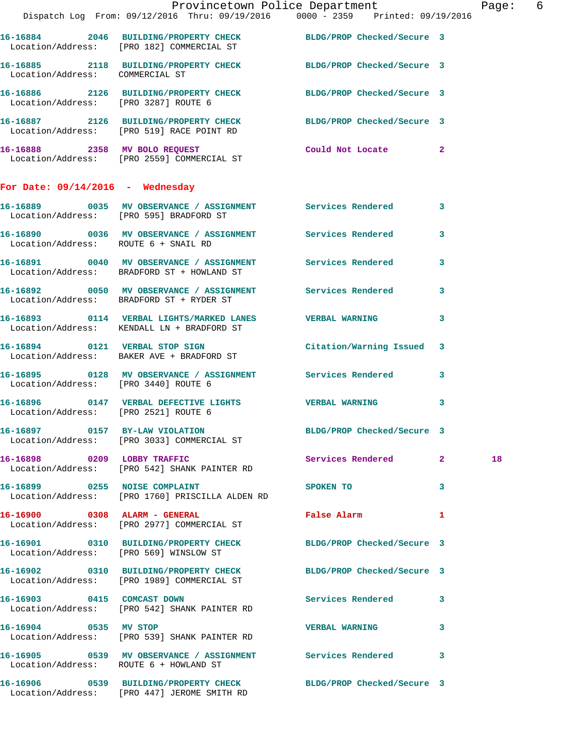|                                      | Provincetown Police Department The Rage: 6<br>Dispatch Log From: 09/12/2016 Thru: 09/19/2016 0000 - 2359 Printed: 09/19/2016 |                               |                         |
|--------------------------------------|------------------------------------------------------------------------------------------------------------------------------|-------------------------------|-------------------------|
|                                      | 16-16884 2046 BUILDING/PROPERTY CHECK BLDG/PROP Checked/Secure 3<br>Location/Address: [PRO 182] COMMERCIAL ST                |                               |                         |
|                                      | 16-16885 2118 BUILDING/PROPERTY CHECK BLDG/PROP Checked/Secure 3<br>Location/Address: COMMERCIAL ST                          |                               |                         |
|                                      | 16-16886 2126 BUILDING/PROPERTY CHECK BLDG/PROP Checked/Secure 3<br>Location/Address: [PRO 3287] ROUTE 6                     |                               |                         |
|                                      | 16-16887 2126 BUILDING/PROPERTY CHECK BLDG/PROP Checked/Secure 3<br>Location/Address: [PRO 519] RACE POINT RD                |                               |                         |
|                                      | 16-16888 2358 MV BOLO REQUEST Could Not Locate 2<br>Location/Address: [PRO 2559] COMMERCIAL ST                               |                               |                         |
| For Date: $09/14/2016$ - Wednesday   |                                                                                                                              |                               |                         |
|                                      | 16-16889 0035 MV OBSERVANCE / ASSIGNMENT Services Rendered 3<br>Location/Address: [PRO 595] BRADFORD ST                      |                               |                         |
| Location/Address: ROUTE 6 + SNAIL RD | 16-16890 0036 MV OBSERVANCE / ASSIGNMENT Services Rendered 3                                                                 |                               |                         |
|                                      | 16-16891 0040 MV OBSERVANCE / ASSIGNMENT Services Rendered 3<br>Location/Address: BRADFORD ST + HOWLAND ST                   |                               |                         |
|                                      | 16-16892 0050 MV OBSERVANCE / ASSIGNMENT Services Rendered 3<br>Location/Address: BRADFORD ST + RYDER ST                     |                               |                         |
|                                      | 16-16893 0114 VERBAL LIGHTS/MARKED LANES VERBAL WARNING<br>Location/Address: KENDALL LN + BRADFORD ST                        |                               | 3                       |
|                                      | 16-16894 0121 VERBAL STOP SIGN Citation/Warning Issued 3<br>Location/Address: BAKER AVE + BRADFORD ST                        |                               |                         |
|                                      | 16-16895 0128 MV OBSERVANCE / ASSIGNMENT Services Rendered 3<br>Location/Address: [PRO 3440] ROUTE 6                         |                               |                         |
| Location/Address: [PRO 2521] ROUTE 6 | 16-16896  0147  VERBAL DEFECTIVE LIGHTS  VERBAL WARNING                                                                      |                               | 3                       |
|                                      | 16-16897 0157 BY-LAW VIOLATION<br>Location/Address: [PRO 3033] COMMERCIAL ST                                                 | BLDG/PROP Checked/Secure 3    |                         |
|                                      | 16-16898 0209 LOBBY TRAFFIC<br>Location/Address: [PRO 542] SHANK PAINTER RD                                                  | Services Rendered 2           | 18                      |
|                                      | 16-16899 0255 NOISE COMPLAINT<br>Location/Address: [PRO 1760] PRISCILLA ALDEN RD                                             | SPOKEN TO                     | $\overline{\mathbf{3}}$ |
|                                      | 16-16900 0308 ALARM - GENERAL<br>Location/Address: [PRO 2977] COMMERCIAL ST                                                  | False Alarm<br>$\blacksquare$ |                         |
|                                      | 16-16901 0310 BUILDING/PROPERTY CHECK BLDG/PROP Checked/Secure 3<br>Location/Address: [PRO 569] WINSLOW ST                   |                               |                         |
|                                      | 16-16902 0310 BUILDING/PROPERTY CHECK BLDG/PROP Checked/Secure 3<br>Location/Address: [PRO 1989] COMMERCIAL ST               |                               |                         |
|                                      | 16-16903 0415 COMCAST DOWN<br>Location/Address: [PRO 542] SHANK PAINTER RD                                                   | Services Rendered 3           |                         |
| 16-16904 0535 MV STOP                | Location/Address: [PRO 539] SHANK PAINTER RD                                                                                 | VERBAL WARNING 3              |                         |
|                                      | 16-16905 0539 MV OBSERVANCE / ASSIGNMENT Services Rendered 3<br>Location/Address: ROUTE 6 + HOWLAND ST                       |                               |                         |
|                                      | 16-16906 0539 BUILDING/PROPERTY CHECK BLDG/PROP Checked/Secure 3<br>Location/Address: [PRO 447] JEROME SMITH RD              |                               |                         |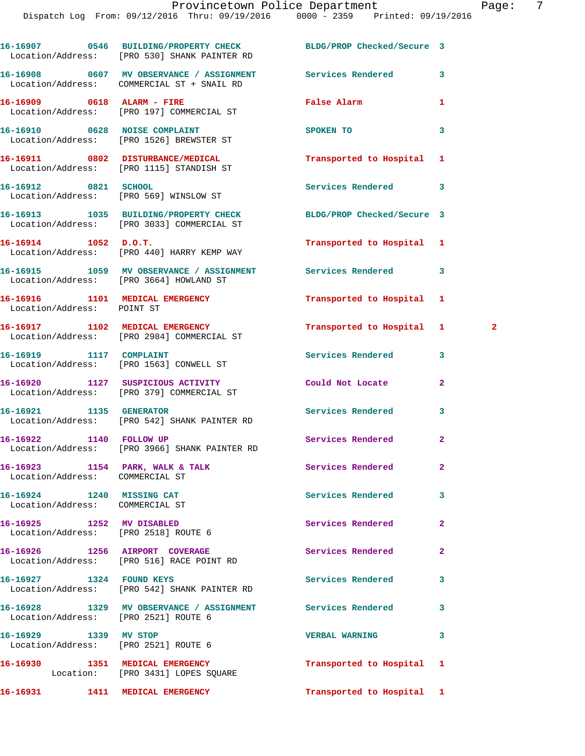**16-16907 0546 BUILDING/PROPERTY CHECK BLDG/PROP Checked/Secure 3**  Location/Address: [PRO 530] SHANK PAINTER RD **16-16908 0607 MV OBSERVANCE / ASSIGNMENT Services Rendered 3**  Location/Address: COMMERCIAL ST + SNAIL RD **16-16909 0618 ALARM - FIRE False Alarm 1**  Location/Address: [PRO 197] COMMERCIAL ST **16-16910 0628 NOISE COMPLAINT SPOKEN TO 3**  Location/Address: [PRO 1526] BREWSTER ST **16-16911 0802 DISTURBANCE/MEDICAL Transported to Hospital 1**  Location/Address: [PRO 1115] STANDISH ST **16-16912 0821 SCHOOL Services Rendered 3**  Location/Address: [PRO 569] WINSLOW ST **16-16913 1035 BUILDING/PROPERTY CHECK BLDG/PROP Checked/Secure 3**  Location/Address: [PRO 3033] COMMERCIAL ST **16-16914 1052 D.O.T. Transported to Hospital 1**  Location/Address: [PRO 440] HARRY KEMP WAY **16-16915 1059 MV OBSERVANCE / ASSIGNMENT Services Rendered 3**  Location/Address: [PRO 3664] HOWLAND ST **16-16916 1101 MEDICAL EMERGENCY Transported to Hospital 1**  Location/Address: POINT ST **16-16917 1102 MEDICAL EMERGENCY Transported to Hospital 1 2**  Location/Address: [PRO 2984] COMMERCIAL ST **16-16919 1117 COMPLAINT Services Rendered 3**  Location/Address: [PRO 1563] CONWELL ST **16-16920 1127 SUSPICIOUS ACTIVITY Could Not Locate 2**  Location/Address: [PRO 379] COMMERCIAL ST **16-16921 1135 GENERATOR Services Rendered 3**  Location/Address: [PRO 542] SHANK PAINTER RD **16-16922 1140 FOLLOW UP Services Rendered 2**  Location/Address: [PRO 3966] SHANK PAINTER RD 16-16923 1154 PARK, WALK & TALK **Services Rendered** 2 Location/Address: COMMERCIAL ST **16-16924 1240 MISSING CAT Services Rendered 3**  Location/Address: COMMERCIAL ST **16-16925 1252 MV DISABLED Services Rendered 2**  Location/Address: [PRO 2518] ROUTE 6 **16-16926 1256 AIRPORT COVERAGE Services Rendered 2**  Location/Address: [PRO 516] RACE POINT RD 16-16927 1324 FOUND KEYS **16-16927** 1324 Services Rendered 3 Location/Address: [PRO 542] SHANK PAINTER RD **16-16928 1329 MV OBSERVANCE / ASSIGNMENT Services Rendered 3**  Location/Address: [PRO 2521] ROUTE 6 **16-16929 1339 MV STOP VERBAL WARNING 3**  Location/Address: [PRO 2521] ROUTE 6 **16-16930 1351 MEDICAL EMERGENCY Transported to Hospital 1**  Location: [PRO 3431] LOPES SQUARE **16-16931 1411 MEDICAL EMERGENCY Transported to Hospital 1**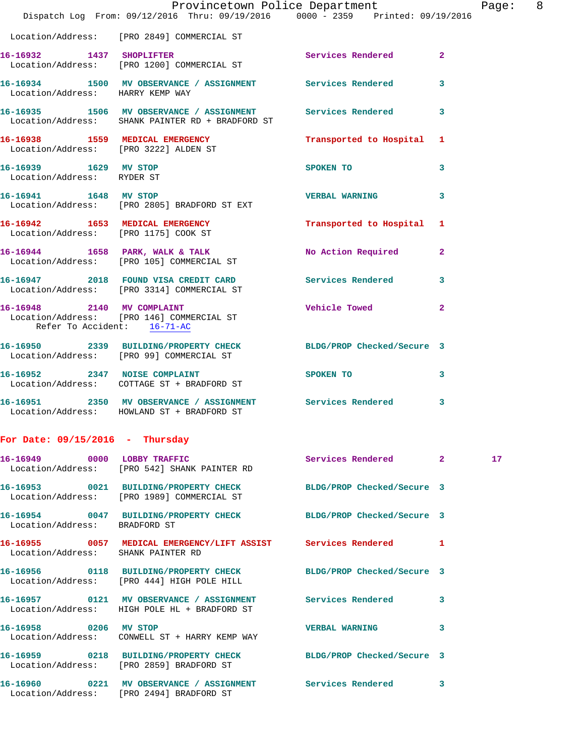|                                                     | Dispatch Log From: 09/12/2016 Thru: 09/19/2016 0000 - 2359 Printed: 09/19/2016                                 | Provincetown Police Department |                         | Page: | 8 |
|-----------------------------------------------------|----------------------------------------------------------------------------------------------------------------|--------------------------------|-------------------------|-------|---|
|                                                     | Location/Address: [PRO 2849] COMMERCIAL ST                                                                     |                                |                         |       |   |
|                                                     | 16-16932 1437 SHOPLIFTER<br>Location/Address: [PRO 1200] COMMERCIAL ST                                         | <b>Services Rendered</b>       | $\overline{2}$          |       |   |
| Location/Address: HARRY KEMP WAY                    | 16-16934 1500 MV OBSERVANCE / ASSIGNMENT Services Rendered                                                     |                                | $\overline{\mathbf{3}}$ |       |   |
|                                                     | 16-16935 1506 MV OBSERVANCE / ASSIGNMENT Services Rendered<br>Location/Address: SHANK PAINTER RD + BRADFORD ST |                                | 3                       |       |   |
| Location/Address: [PRO 3222] ALDEN ST               | 16-16938 1559 MEDICAL EMERGENCY                                                                                | Transported to Hospital 1      |                         |       |   |
| 16-16939 1629 MV STOP<br>Location/Address: RYDER ST |                                                                                                                | SPOKEN TO                      | 3                       |       |   |
| 16-16941 1648 MV STOP                               | Location/Address: [PRO 2805] BRADFORD ST EXT                                                                   | <b>VERBAL WARNING</b>          | 3                       |       |   |
|                                                     | 16-16942 1653 MEDICAL EMERGENCY<br>Location/Address: [PRO 1175] COOK ST                                        | Transported to Hospital 1      |                         |       |   |
|                                                     | 16-16944 1658 PARK, WALK & TALK<br>Location/Address: [PRO 105] COMMERCIAL ST                                   | No Action Required             | 2                       |       |   |
|                                                     | 16-16947 2018 FOUND VISA CREDIT CARD Services Rendered<br>Location/Address: [PRO 3314] COMMERCIAL ST           |                                | 3                       |       |   |
|                                                     | 16-16948 2140 MV COMPLAINT<br>Location/Address: [PRO 146] COMMERCIAL ST<br>Refer To Accident: 16-71-AC         | <b>Vehicle Towed</b>           | $\mathbf{2}$            |       |   |
|                                                     | 16-16950 2339 BUILDING/PROPERTY CHECK BLDG/PROP Checked/Secure 3<br>Location/Address: [PRO 99] COMMERCIAL ST   |                                |                         |       |   |
|                                                     | 16-16952 2347 NOISE COMPLAINT<br>Location/Address: COTTAGE ST + BRADFORD ST                                    | SPOKEN TO                      | 3                       |       |   |
|                                                     | 16-16951 2350 MV OBSERVANCE / ASSIGNMENT Services Rendered<br>Location/Address: HOWLAND ST + BRADFORD ST       |                                | 3                       |       |   |
| For Date: $09/15/2016$ - Thursday                   |                                                                                                                |                                |                         |       |   |
|                                                     | 16-16949 0000 LOBBY TRAFFIC<br>Location/Address: [PRO 542] SHANK PAINTER RD                                    | Services Rendered 2            |                         | 17    |   |
|                                                     | 16-16953 0021 BUILDING/PROPERTY CHECK<br>Location/Address: [PRO 1989] COMMERCIAL ST                            | BLDG/PROP Checked/Secure 3     |                         |       |   |
| Location/Address: BRADFORD ST                       | 16-16954 0047 BUILDING/PROPERTY CHECK                                                                          | BLDG/PROP Checked/Secure 3     |                         |       |   |
| Location/Address: SHANK PAINTER RD                  | 16-16955 0057 MEDICAL EMERGENCY/LIFT ASSIST Services Rendered 1                                                |                                |                         |       |   |
|                                                     | 16-16956 0118 BUILDING/PROPERTY CHECK<br>Location/Address: [PRO 444] HIGH POLE HILL                            | BLDG/PROP Checked/Secure 3     |                         |       |   |
|                                                     | 16-16957  0121 MV OBSERVANCE / ASSIGNMENT Services Rendered<br>Location/Address: HIGH POLE HL + BRADFORD ST    |                                | 3                       |       |   |
| 16-16958 0206 MV STOP                               | Location/Address: CONWELL ST + HARRY KEMP WAY                                                                  | <b>VERBAL WARNING</b>          | 3                       |       |   |
|                                                     | 16-16959 0218 BUILDING/PROPERTY CHECK<br>Location/Address: [PRO 2859] BRADFORD ST                              | BLDG/PROP Checked/Secure 3     |                         |       |   |
|                                                     | 16-16960 0221 MV OBSERVANCE / ASSIGNMENT Services Rendered<br>Location/Address: [PRO 2494] BRADFORD ST         |                                | 3                       |       |   |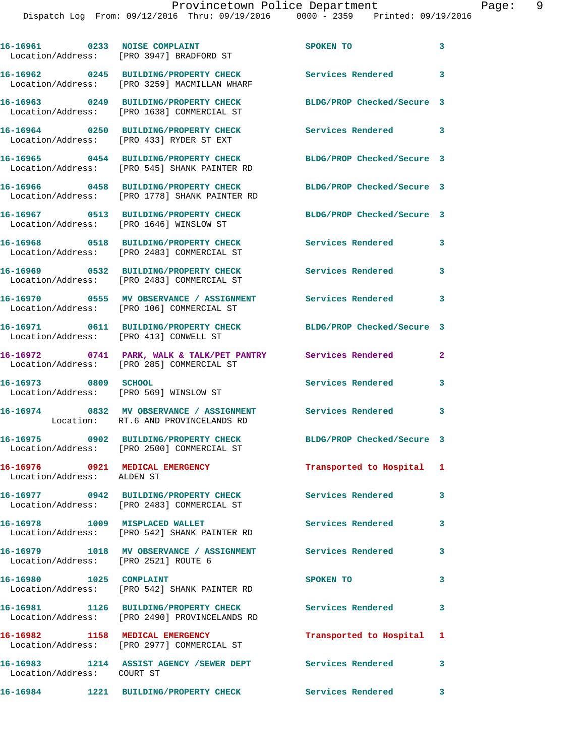|                                        | 16-16961 0233 NOISE COMPLAINT<br>Location/Address: [PRO 3947] BRADFORD ST                                 | SPOKEN TO                  | 3            |
|----------------------------------------|-----------------------------------------------------------------------------------------------------------|----------------------------|--------------|
|                                        | 16-16962 0245 BUILDING/PROPERTY CHECK<br>Location/Address: [PRO 3259] MACMILLAN WHARF                     | <b>Services Rendered</b>   | 3            |
|                                        | 16-16963 0249 BUILDING/PROPERTY CHECK<br>Location/Address: [PRO 1638] COMMERCIAL ST                       | BLDG/PROP Checked/Secure 3 |              |
|                                        | 16-16964 0250 BUILDING/PROPERTY CHECK<br>Location/Address: [PRO 433] RYDER ST EXT                         | Services Rendered 3        |              |
|                                        | 16-16965 0454 BUILDING/PROPERTY CHECK<br>Location/Address: [PRO 545] SHANK PAINTER RD                     | BLDG/PROP Checked/Secure 3 |              |
|                                        | 16-16966 0458 BUILDING/PROPERTY CHECK<br>Location/Address: [PRO 1778] SHANK PAINTER RD                    | BLDG/PROP Checked/Secure 3 |              |
|                                        | 16-16967 0513 BUILDING/PROPERTY CHECK<br>Location/Address: [PRO 1646] WINSLOW ST                          | BLDG/PROP Checked/Secure 3 |              |
| Location/Address:                      | 16-16968 0518 BUILDING/PROPERTY CHECK<br>[PRO 2483] COMMERCIAL ST                                         | <b>Services Rendered</b>   | 3            |
|                                        | 16-16969 0532 BUILDING/PROPERTY CHECK<br>Location/Address: [PRO 2483] COMMERCIAL ST                       | <b>Services Rendered</b>   | 3            |
|                                        | 16-16970 0555 MV OBSERVANCE / ASSIGNMENT<br>Location/Address: [PRO 106] COMMERCIAL ST                     | <b>Services Rendered</b>   | 3            |
| Location/Address: [PRO 413] CONWELL ST | 16-16971 0611 BUILDING/PROPERTY CHECK                                                                     | BLDG/PROP Checked/Secure 3 |              |
|                                        | 16-16972 0741 PARK, WALK & TALK/PET PANTRY Services Rendered<br>Location/Address: [PRO 285] COMMERCIAL ST |                            | $\mathbf{2}$ |
| 16-16973 0809 SCHOOL                   | Location/Address: [PRO 569] WINSLOW ST                                                                    | Services Rendered          | 3            |
|                                        | 16-16974 0832 MV OBSERVANCE / ASSIGNMENT<br>Location: RT.6 AND PROVINCELANDS RD                           | Services Rendered          | 3            |
|                                        | 16-16975 0902 BUILDING/PROPERTY CHECK<br>Location/Address: [PRO 2500] COMMERCIAL ST                       | BLDG/PROP Checked/Secure 3 |              |
| Location/Address: ALDEN ST             |                                                                                                           | Transported to Hospital 1  |              |
|                                        | 16-16977 0942 BUILDING/PROPERTY CHECK<br>Location/Address: [PRO 2483] COMMERCIAL ST                       | <b>Services Rendered</b>   | 3            |
|                                        | 16-16978 1009 MISPLACED WALLET<br>Location/Address: [PRO 542] SHANK PAINTER RD                            | <b>Services Rendered</b>   | 3            |
| Location/Address: [PRO 2521] ROUTE 6   | 16-16979 1018 MV OBSERVANCE / ASSIGNMENT Services Rendered                                                |                            | 3            |
| 16-16980 1025 COMPLAINT                | Location/Address: [PRO 542] SHANK PAINTER RD                                                              | SPOKEN TO                  | 3            |
|                                        | 16-16981 1126 BUILDING/PROPERTY CHECK Services Rendered<br>Location/Address: [PRO 2490] PROVINCELANDS RD  |                            | $\mathbf{3}$ |
|                                        | 16-16982 1158 MEDICAL EMERGENCY<br>Location/Address: [PRO 2977] COMMERCIAL ST                             | Transported to Hospital 1  |              |
| Location/Address: COURT ST             | 16-16983 1214 ASSIST AGENCY /SEWER DEPT Services Rendered                                                 |                            | $\mathbf{3}$ |
|                                        | 16-16984 1221 BUILDING/PROPERTY CHECK                                                                     | Services Rendered 3        |              |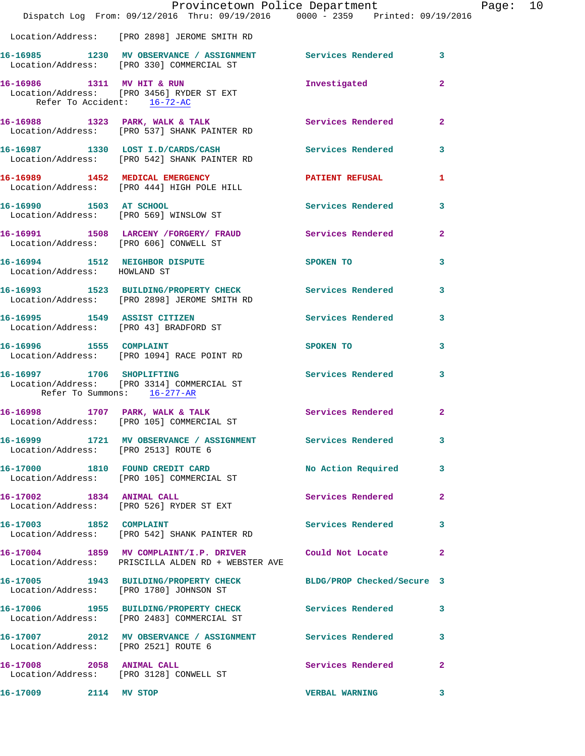|                                                          | Dispatch Log From: 09/12/2016 Thru: 09/19/2016 0000 - 2359 Printed: 09/19/2016                                | Provincetown Police Department Page: 10 |              |  |
|----------------------------------------------------------|---------------------------------------------------------------------------------------------------------------|-----------------------------------------|--------------|--|
|                                                          | Location/Address: [PRO 2898] JEROME SMITH RD                                                                  |                                         |              |  |
|                                                          | 16-16985 1230 MV OBSERVANCE / ASSIGNMENT Services Rendered 3<br>Location/Address: [PRO 330] COMMERCIAL ST     |                                         |              |  |
| Refer To Accident: 16-72-AC                              | 16-16986 1311 MV HIT & RUN<br>Location/Address: [PRO 3456] RYDER ST EXT                                       | Investigated                            | $\mathbf{2}$ |  |
|                                                          | 16-16988 1323 PARK, WALK & TALK (2008) Services Rendered Location/Address: [PRO 537] SHANK PAINTER RD         |                                         | $\mathbf{2}$ |  |
|                                                          | 16-16987 1330 LOST I.D/CARDS/CASH Services Rendered 3<br>Location/Address: [PRO 542] SHANK PAINTER RD         |                                         |              |  |
|                                                          | 16-16989 1452 MEDICAL EMERGENCY PATIENT REFUSAL<br>Location/Address: [PRO 444] HIGH POLE HILL                 |                                         | 1            |  |
|                                                          | 16-16990 1503 AT SCHOOL<br>Location/Address: [PRO 569] WINSLOW ST                                             | Services Rendered 3                     |              |  |
|                                                          | 16-16991 1508 LARCENY /FORGERY/ FRAUD Services Rendered<br>Location/Address: [PRO 606] CONWELL ST             |                                         | $\mathbf{2}$ |  |
| Location/Address: HOWLAND ST                             | 16-16994 1512 NEIGHBOR DISPUTE SPOKEN TO 3                                                                    |                                         |              |  |
|                                                          | 16-16993 1523 BUILDING/PROPERTY CHECK Services Rendered<br>Location/Address: [PRO 2898] JEROME SMITH RD       |                                         | 3            |  |
|                                                          | 16-16995 1549 ASSIST CITIZEN 2001 Services Rendered 3<br>Location/Address: [PRO 43] BRADFORD ST               |                                         |              |  |
|                                                          | 16-16996 1555 COMPLAINT<br>Location/Address: [PRO 1094] RACE POINT RD                                         | SPOKEN TO DESCRIPTION OF REAL PROPERTY. | 3            |  |
| 16-16997 1706 SHOPLIFTING<br>Refer To Summons: 16-277-AR | Location/Address: [PRO 3314] COMMERCIAL ST                                                                    | Services Rendered                       | 3            |  |
|                                                          | 16-16998 1707 PARK, WALK & TALK 1988 Services Rendered 2<br>Location/Address: [PRO 105] COMMERCIAL ST         |                                         |              |  |
| Location/Address: [PRO 2513] ROUTE 6                     | 16-16999 1721 MV OBSERVANCE / ASSIGNMENT Services Rendered 3                                                  |                                         |              |  |
|                                                          | 16-17000 1810 FOUND CREDIT CARD<br>Location/Address: [PRO 105] COMMERCIAL ST                                  | No Action Required 3                    |              |  |
|                                                          | 16-17002 1834 ANIMAL CALL<br>Location/Address: [PRO 526] RYDER ST EXT                                         | Services Rendered                       | $\mathbf{2}$ |  |
|                                                          | 16-17003 1852 COMPLAINT<br>Location/Address: [PRO 542] SHANK PAINTER RD                                       | Services Rendered                       | 3            |  |
|                                                          | 16-17004 1859 MV COMPLAINT/I.P. DRIVER Could Not Locate<br>Location/Address: PRISCILLA ALDEN RD + WEBSTER AVE |                                         | $\mathbf{2}$ |  |
|                                                          | 16-17005 1943 BUILDING/PROPERTY CHECK BLDG/PROP Checked/Secure 3<br>Location/Address: [PRO 1780] JOHNSON ST   |                                         |              |  |
|                                                          | 16-17006 1955 BUILDING/PROPERTY CHECK Services Rendered<br>Location/Address: [PRO 2483] COMMERCIAL ST         |                                         | 3            |  |
| Location/Address: [PRO 2521] ROUTE 6                     | 16-17007 2012 MV OBSERVANCE / ASSIGNMENT Services Rendered                                                    |                                         | 3            |  |
| 16-17008 2058 ANIMAL CALL                                | Location/Address: [PRO 3128] CONWELL ST                                                                       | <b>Services Rendered</b>                | 2            |  |
| 16-17009 2114 MV STOP                                    |                                                                                                               | <b>VERBAL WARNING</b>                   | 3            |  |
|                                                          |                                                                                                               |                                         |              |  |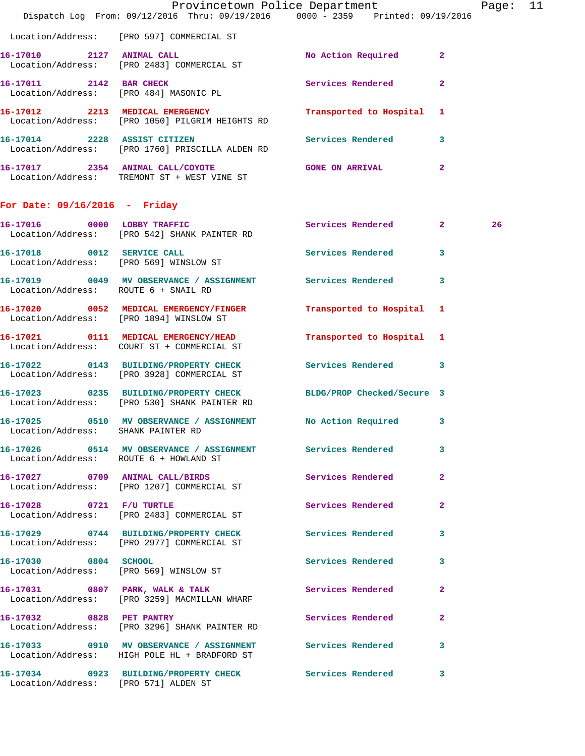|                                         | Dispatch Log From: 09/12/2016 Thru: 09/19/2016 0000 - 2359 Printed: 09/19/2016                                   | Provincetown Police Department |                         | Page: | 11 |
|-----------------------------------------|------------------------------------------------------------------------------------------------------------------|--------------------------------|-------------------------|-------|----|
|                                         | Location/Address: [PRO 597] COMMERCIAL ST                                                                        |                                |                         |       |    |
| 16-17010 2127 ANIMAL CALL               | Location/Address: [PRO 2483] COMMERCIAL ST                                                                       | No Action Required             | $\mathbf{2}$            |       |    |
|                                         | 16-17011 2142 BAR CHECK<br>Location/Address: [PRO 484] MASONIC PL                                                | <b>Services Rendered</b>       | $\mathbf{2}$            |       |    |
|                                         | 16-17012 2213 MEDICAL EMERGENCY<br>Location/Address: [PRO 1050] PILGRIM HEIGHTS RD                               | Transported to Hospital        | -1                      |       |    |
| 16-17014 2228 ASSIST CITIZEN            | Location/Address: [PRO 1760] PRISCILLA ALDEN RD                                                                  | <b>Services Rendered</b>       | 3                       |       |    |
|                                         | 16-17017 2354 ANIMAL CALL/COYOTE GONE ON ARRIVAL<br>Location/Address: TREMONT ST + WEST VINE ST                  |                                | $\mathbf{2}$            |       |    |
| For Date: $09/16/2016$ - Friday         |                                                                                                                  |                                |                         |       |    |
|                                         | 16-17016 0000 LOBBY TRAFFIC<br>Location/Address: [PRO 542] SHANK PAINTER RD                                      | Services Rendered 2            |                         | 26    |    |
| Location/Address: [PRO 569] WINSLOW ST  | 16-17018 0012 SERVICE CALL                                                                                       | Services Rendered              | 3                       |       |    |
| Location/Address: ROUTE 6 + SNAIL RD    | 16-17019 0049 MV OBSERVANCE / ASSIGNMENT Services Rendered                                                       |                                | 3                       |       |    |
| Location/Address: [PRO 1894] WINSLOW ST | 16-17020 0052 MEDICAL EMERGENCY/FINGER Transported to Hospital                                                   |                                | -1                      |       |    |
|                                         | 16-17021 0111 MEDICAL EMERGENCY/HEAD<br>Location/Address: COURT ST + COMMERCIAL ST                               | Transported to Hospital        | 1                       |       |    |
|                                         | 16-17022 0143 BUILDING/PROPERTY CHECK Services Rendered<br>Location/Address: [PRO 3928] COMMERCIAL ST            |                                | 3                       |       |    |
|                                         | 16-17023 0235 BUILDING/PROPERTY CHECK BLDG/PROP Checked/Secure 3<br>Location/Address: [PRO 530] SHANK PAINTER RD |                                |                         |       |    |
| Location/Address: SHANK PAINTER RD      | 16-17025 0510 MV OBSERVANCE / ASSIGNMENT No Action Required                                                      |                                | 3                       |       |    |
|                                         | 16-17026 0514 MV OBSERVANCE / ASSIGNMENT Services Rendered<br>Location/Address: ROUTE 6 + HOWLAND ST             |                                | 3                       |       |    |
|                                         | 16-17027 0709 ANIMAL CALL/BIRDS Services Rendered<br>Location/Address: [PRO 1207] COMMERCIAL ST                  |                                | $\mathbf{2}$            |       |    |
| 16-17028 0721 F/U TURTLE                | Location/Address: [PRO 2483] COMMERCIAL ST                                                                       | Services Rendered              | $\mathbf{2}$            |       |    |
|                                         | 16-17029 0744 BUILDING/PROPERTY CHECK Services Rendered<br>Location/Address: [PRO 2977] COMMERCIAL ST            |                                | 3                       |       |    |
| 16-17030 0804 SCHOOL                    | Location/Address: [PRO 569] WINSLOW ST                                                                           | Services Rendered              | 3                       |       |    |
|                                         | 16-17031 0807 PARK, WALK & TALK<br>Location/Address: [PRO 3259] MACMILLAN WHARF                                  | Services Rendered              | $\overline{\mathbf{2}}$ |       |    |
|                                         | 16-17032 0828 PET PANTRY<br>Location/Address: [PRO 3296] SHANK PAINTER RD                                        | <b>Services Rendered</b>       | $\mathbf{2}$            |       |    |
|                                         | 16-17033 0910 MV OBSERVANCE / ASSIGNMENT Services Rendered<br>Location/Address: HIGH POLE HL + BRADFORD ST       |                                | 3                       |       |    |
| Location/Address: [PRO 571] ALDEN ST    | 16-17034 0923 BUILDING/PROPERTY CHECK Services Rendered                                                          |                                | 3                       |       |    |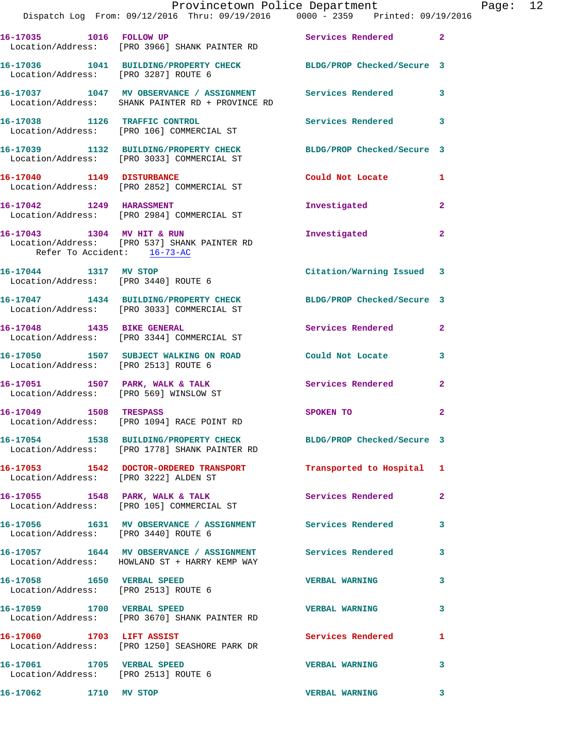|                                                                    | Provincetown Police Department<br>Dispatch Log From: 09/12/2016 Thru: 09/19/2016 0000 - 2359 Printed: 09/19/2016  |                           |              | Page: 12 |  |
|--------------------------------------------------------------------|-------------------------------------------------------------------------------------------------------------------|---------------------------|--------------|----------|--|
|                                                                    | 16-17035 1016 FOLLOW UP Services Rendered 2<br>Location/Address: [PRO 3966] SHANK PAINTER RD                      |                           |              |          |  |
| Location/Address: [PRO 3287] ROUTE 6                               | 16-17036 1041 BUILDING/PROPERTY CHECK BLDG/PROP Checked/Secure 3                                                  |                           |              |          |  |
|                                                                    | 16-17037 1047 MV OBSERVANCE / ASSIGNMENT Services Rendered 3<br>Location/Address: SHANK PAINTER RD + PROVINCE RD  |                           |              |          |  |
|                                                                    | 16-17038 1126 TRAFFIC CONTROL ST Services Rendered 3<br>Location/Address: [PRO 106] COMMERCIAL ST                 |                           |              |          |  |
|                                                                    | 16-17039 1132 BUILDING/PROPERTY CHECK BLDG/PROP Checked/Secure 3<br>Location/Address: [PRO 3033] COMMERCIAL ST    |                           |              |          |  |
|                                                                    | 16-17040 1149 DISTURBANCE<br>Location/Address: [PRO 2852] COMMERCIAL ST                                           | Could Not Locate 1        |              |          |  |
|                                                                    | 16-17042 1249 HARASSMENT<br>Location/Address: [PRO 2984] COMMERCIAL ST                                            | Investigated              | $\mathbf{2}$ |          |  |
| Refer To Accident: 16-73-AC                                        | 16-17043 1304 MV HIT & RUN<br>Location/Address: [PRO 537] SHANK PAINTER RD                                        | Investigated              | $\mathbf{2}$ |          |  |
| 16-17044 1317 MV STOP                                              | Location/Address: [PRO 3440] ROUTE 6                                                                              | Citation/Warning Issued 3 |              |          |  |
|                                                                    | 16-17047 1434 BUILDING/PROPERTY CHECK BLDG/PROP Checked/Secure 3<br>Location/Address: [PRO 3033] COMMERCIAL ST    |                           |              |          |  |
|                                                                    | 16-17048 1435 BIKE GENERAL<br>Location/Address: [PRO 3344] COMMERCIAL ST                                          | Services Rendered 2       |              |          |  |
|                                                                    | 16-17050 1507 SUBJECT WALKING ON ROAD Could Not Locate 3<br>Location/Address: [PRO 2513] ROUTE 6                  |                           |              |          |  |
|                                                                    | 16-17051 1507 PARK, WALK & TALK<br>Location/Address: [PRO 569] WINSLOW ST                                         | Services Rendered         | $\mathbf{2}$ |          |  |
|                                                                    | 16-17049 1508 TRESPASS<br>Location/Address: [PRO 1094] RACE POINT RD                                              | SPOKEN TO                 | $\mathbf{2}$ |          |  |
|                                                                    | 16-17054 1538 BUILDING/PROPERTY CHECK BLDG/PROP Checked/Secure 3<br>Location/Address: [PRO 1778] SHANK PAINTER RD |                           |              |          |  |
| Location/Address: [PRO 3222] ALDEN ST                              | 16-17053 1542 DOCTOR-ORDERED TRANSPORT Transported to Hospital 1                                                  |                           |              |          |  |
|                                                                    | 16-17055 1548 PARK, WALK & TALK<br>Location/Address: [PRO 105] COMMERCIAL ST                                      | Services Rendered 2       |              |          |  |
| Location/Address: [PRO 3440] ROUTE 6                               | 16-17056 1631 MV OBSERVANCE / ASSIGNMENT Services Rendered                                                        |                           | 3            |          |  |
|                                                                    | 16-17057 1644 MV OBSERVANCE / ASSIGNMENT Services Rendered 3<br>Location/Address: HOWLAND ST + HARRY KEMP WAY     |                           |              |          |  |
| Location/Address: [PRO 2513] ROUTE 6                               | 16-17058 1650 VERBAL SPEED                                                                                        | <b>VERBAL WARNING</b>     | 3            |          |  |
| 16-17059 1700 VERBAL SPEED                                         | Location/Address: [PRO 3670] SHANK PAINTER RD                                                                     | <b>VERBAL WARNING</b>     | 3            |          |  |
|                                                                    | 16-17060 1703 LIFT ASSIST<br>Location/Address: [PRO 1250] SEASHORE PARK DR                                        | Services Rendered 1       |              |          |  |
| 16-17061 1705 VERBAL SPEED<br>Location/Address: [PRO 2513] ROUTE 6 |                                                                                                                   | <b>VERBAL WARNING</b>     | 3            |          |  |
| 16-17062 1710 MV STOP                                              |                                                                                                                   | VERBAL WARNING 3          |              |          |  |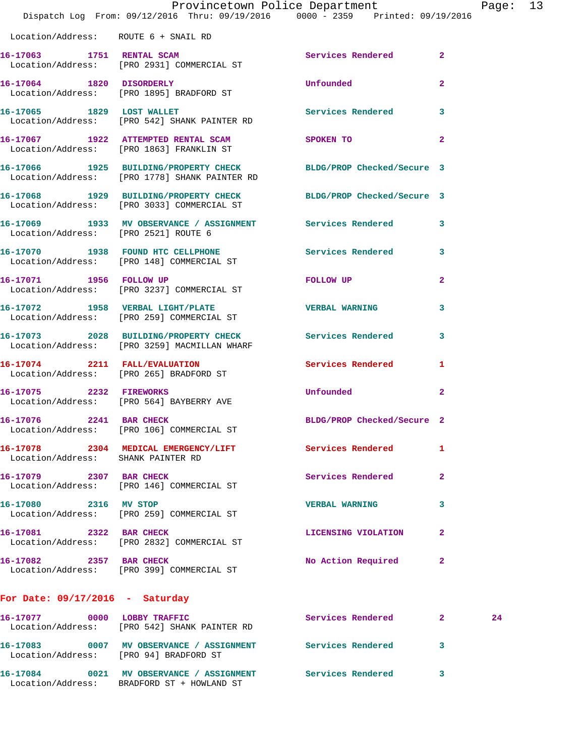|                                      | Dispatch Log From: 09/12/2016 Thru: 09/19/2016 0000 - 2359 Printed: 09/19/2016                                    | Provincetown Police Department                                                                                 |              | Page: 13 |  |
|--------------------------------------|-------------------------------------------------------------------------------------------------------------------|----------------------------------------------------------------------------------------------------------------|--------------|----------|--|
| Location/Address: ROUTE 6 + SNAIL RD |                                                                                                                   |                                                                                                                |              |          |  |
|                                      | 16-17063 1751 RENTAL SCAM<br>Location/Address: [PRO 2931] COMMERCIAL ST                                           | Services Rendered 2                                                                                            |              |          |  |
|                                      | 16-17064 1820 DISORDERLY<br>Location/Address: [PRO 1895] BRADFORD ST                                              | Unfounded                                                                                                      | $\mathbf{2}$ |          |  |
|                                      | 16-17065 1829 LOST WALLET<br>Location/Address: [PRO 542] SHANK PAINTER RD                                         | Services Rendered 3                                                                                            |              |          |  |
|                                      | 16-17067 1922 ATTEMPTED RENTAL SCAM SPOKEN TO<br>Location/Address: [PRO 1863] FRANKLIN ST                         |                                                                                                                | $\mathbf{2}$ |          |  |
|                                      | 16-17066 1925 BUILDING/PROPERTY CHECK BLDG/PROP Checked/Secure 3<br>Location/Address: [PRO 1778] SHANK PAINTER RD |                                                                                                                |              |          |  |
|                                      | 16-17068 1929 BUILDING/PROPERTY CHECK BLDG/PROP Checked/Secure 3<br>Location/Address: [PRO 3033] COMMERCIAL ST    |                                                                                                                |              |          |  |
| Location/Address: [PRO 2521] ROUTE 6 | 16-17069 1933 MV OBSERVANCE / ASSIGNMENT Services Rendered 3                                                      |                                                                                                                |              |          |  |
|                                      | 16-17070 1938 FOUND HTC CELLPHONE 60 Services Rendered 3<br>Location/Address: [PRO 148] COMMERCIAL ST             |                                                                                                                |              |          |  |
| 16-17071 1956 FOLLOW UP              | Location/Address: [PRO 3237] COMMERCIAL ST                                                                        | FOLLOW UP THE STATE OF THE STATE OF THE STATE OF THE STATE OF THE STATE OF THE STATE OF THE STATE OF THE STATE | $\mathbf{2}$ |          |  |
|                                      | 16-17072 1958 VERBAL LIGHT/PLATE<br>Location/Address: [PRO 259] COMMERCIAL ST                                     | <b>VERBAL WARNING</b>                                                                                          | 3            |          |  |
|                                      | 16-17073 2028 BUILDING/PROPERTY CHECK Services Rendered<br>Location/Address: [PRO 3259] MACMILLAN WHARF           |                                                                                                                | $\mathbf{3}$ |          |  |
|                                      | 16-17074 2211 FALL/EVALUATION<br>Location/Address: [PRO 265] BRADFORD ST                                          | Services Rendered 1                                                                                            |              |          |  |
| 16-17075 2232 FIREWORKS              | Location/Address: [PRO 564] BAYBERRY AVE                                                                          | Unfounded                                                                                                      | $\mathbf{2}$ |          |  |
| 16-17076 2241 BAR CHECK              | Location/Address: [PRO 106] COMMERCIAL ST                                                                         | BLDG/PROP Checked/Secure 2                                                                                     |              |          |  |
| Location/Address: SHANK PAINTER RD   | 16-17078 2304 MEDICAL EMERGENCY/LIFT                                                                              | Services Rendered                                                                                              | 1            |          |  |
|                                      | 16-17079 2307 BAR CHECK<br>Location/Address: [PRO 146] COMMERCIAL ST                                              | Services Rendered                                                                                              | $\mathbf{2}$ |          |  |
| 16-17080 2316 MV STOP                | Location/Address: [PRO 259] COMMERCIAL ST                                                                         | <b>VERBAL WARNING</b>                                                                                          | 3            |          |  |
| 16-17081 2322 BAR CHECK              | Location/Address: [PRO 2832] COMMERCIAL ST                                                                        | LICENSING VIOLATION                                                                                            | $\mathbf{2}$ |          |  |
| 16-17082 2357 BAR CHECK              | Location/Address: [PRO 399] COMMERCIAL ST                                                                         | No Action Required                                                                                             | $\mathbf{2}$ |          |  |
| For Date: $09/17/2016$ - Saturday    |                                                                                                                   |                                                                                                                |              |          |  |
| 16-17077 0000 LOBBY TRAFFIC          | Location/Address: [PRO 542] SHANK PAINTER RD                                                                      | Services Rendered 2                                                                                            |              | 24       |  |

**16-17083 0007 MV OBSERVANCE / ASSIGNMENT Services Rendered 3**  Location/Address: [PRO 94] BRADFORD ST **16-17084 0021 MV OBSERVANCE / ASSIGNMENT Services Rendered 3**  Location/Address: BRADFORD ST + HOWLAND ST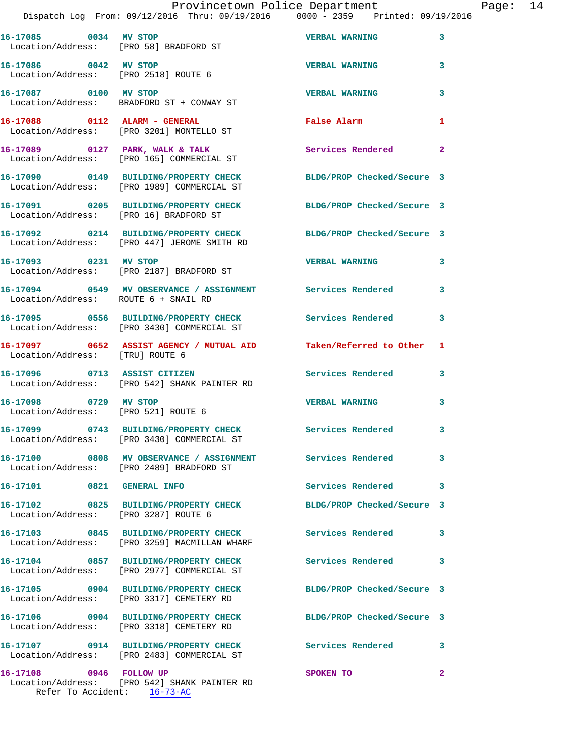|                                                |  | Provincetown Police Department |  |                                 | Page: $14$ |  |
|------------------------------------------------|--|--------------------------------|--|---------------------------------|------------|--|
| Dispatch Log From: 09/12/2016 Thru: 09/19/2016 |  |                                |  | 0000 - 2359 Printed: 09/19/2016 |            |  |

| 16-17085 0034 MV STOP<br>Location/Address: [PRO 58] BRADFORD ST |                                                                                                                | <b>VERBAL WARNING</b>      | 3                          |
|-----------------------------------------------------------------|----------------------------------------------------------------------------------------------------------------|----------------------------|----------------------------|
| 16-17086 0042 MV STOP<br>Location/Address: [PRO 2518] ROUTE 6   |                                                                                                                | <b>VERBAL WARNING</b>      | 3                          |
| 16-17087 0100 MV STOP                                           | Location/Address: BRADFORD ST + CONWAY ST                                                                      | <b>VERBAL WARNING</b>      | 3                          |
|                                                                 | 16-17088 0112 ALARM - GENERAL<br>Location/Address: [PRO 3201] MONTELLO ST                                      | <b>False Alarm</b>         | 1                          |
|                                                                 | 16-17089 0127 PARK, WALK & TALK<br>Location/Address: [PRO 165] COMMERCIAL ST                                   | <b>Services Rendered</b>   | $\overline{\phantom{0}}$ 2 |
|                                                                 | 16-17090 0149 BUILDING/PROPERTY CHECK<br>Location/Address: [PRO 1989] COMMERCIAL ST                            | BLDG/PROP Checked/Secure 3 |                            |
| Location/Address: [PRO 16] BRADFORD ST                          | 16-17091 0205 BUILDING/PROPERTY CHECK                                                                          | BLDG/PROP Checked/Secure 3 |                            |
|                                                                 | 16-17092 0214 BUILDING/PROPERTY CHECK<br>Location/Address: [PRO 447] JEROME SMITH RD                           | BLDG/PROP Checked/Secure 3 |                            |
| 16-17093 0231 MV STOP                                           | Location/Address: [PRO 2187] BRADFORD ST                                                                       | <b>VERBAL WARNING</b>      | $\overline{\mathbf{3}}$    |
| Location/Address: ROUTE 6 + SNAIL RD                            | 16-17094 0549 MV OBSERVANCE / ASSIGNMENT Services Rendered                                                     |                            | 3                          |
|                                                                 | 16-17095 0556 BUILDING/PROPERTY CHECK Services Rendered<br>Location/Address: [PRO 3430] COMMERCIAL ST          |                            | 3                          |
|                                                                 | 16-17097     0652 ASSIST AGENCY / MUTUAL AID      Taken/Referred to Other<br>Location/Address:   [TRU] ROUTE 6 |                            | 1                          |
| 16-17096 0713 ASSIST CITIZEN                                    | Location/Address: [PRO 542] SHANK PAINTER RD                                                                   | Services Rendered          | 3                          |
| 16-17098 0729 MV STOP                                           | Location/Address: [PRO 521] ROUTE 6                                                                            | <b>VERBAL WARNING</b>      | 3                          |
|                                                                 | 16-17099 0743 BUILDING/PROPERTY CHECK<br>Location/Address: [PRO 3430] COMMERCIAL ST                            | <b>Services Rendered</b>   | 3                          |
|                                                                 | 16-17100 0808 MV OBSERVANCE / ASSIGNMENT<br>Location/Address: [PRO 2489] BRADFORD ST                           | Services Rendered          | 3                          |
| 16-17101 0821 GENERAL INFO                                      |                                                                                                                | Services Rendered          | 3                          |
| Location/Address: [PRO 3287] ROUTE 6                            | 16-17102 0825 BUILDING/PROPERTY CHECK                                                                          | BLDG/PROP Checked/Secure 3 |                            |
|                                                                 | 16-17103 0845 BUILDING/PROPERTY CHECK                                                                          | <b>Services Rendered</b>   | 3                          |
|                                                                 | Location/Address: [PRO 3259] MACMILLAN WHARF                                                                   |                            |                            |
|                                                                 | 16-17104 0857 BUILDING/PROPERTY CHECK<br>Location/Address: [PRO 2977] COMMERCIAL ST                            | Services Rendered          | 3                          |
|                                                                 | 16-17105 0904 BUILDING/PROPERTY CHECK<br>Location/Address: [PRO 3317] CEMETERY RD                              | BLDG/PROP Checked/Secure 3 |                            |
|                                                                 | 16-17106 0904 BUILDING/PROPERTY CHECK<br>Location/Address: [PRO 3318] CEMETERY RD                              | BLDG/PROP Checked/Secure 3 |                            |
|                                                                 | 16-17107 0914 BUILDING/PROPERTY CHECK<br>Location/Address: [PRO 2483] COMMERCIAL ST                            | Services Rendered          | 3                          |
|                                                                 |                                                                                                                |                            |                            |
| 16-17108 0946 FOLLOW UP                                         | Location/Address: [PRO 542] SHANK PAINTER RD<br>Refer To Accident: 16-73-AC                                    | SPOKEN TO                  | $\mathbf{2}$               |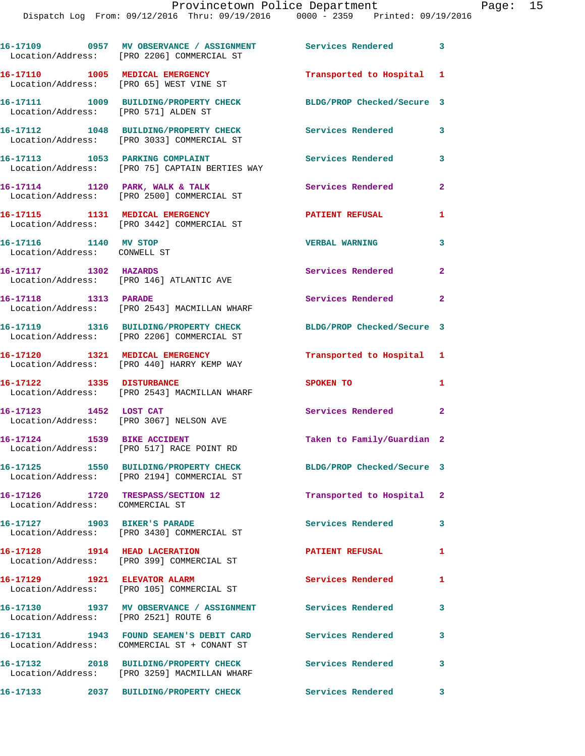|                        | 16-17109 0957 MV OBSERVANCE / ASSIGNMENT Services Rendered 3<br>Location/Address: [PRO 2206] COMMERCIAL ST |                            |                            |
|------------------------|------------------------------------------------------------------------------------------------------------|----------------------------|----------------------------|
|                        | 16-17110 1005 MEDICAL EMERGENCY<br>Location/Address: [PRO 65] WEST VINE ST                                 | Transported to Hospital 1  |                            |
|                        | 16-17111 1009 BUILDING/PROPERTY CHECK<br>Location/Address: [PRO 571] ALDEN ST                              | BLDG/PROP Checked/Secure 3 |                            |
|                        | 16-17112 1048 BUILDING/PROPERTY CHECK<br>Location/Address: [PRO 3033] COMMERCIAL ST                        | <b>Services Rendered</b>   | 3                          |
|                        | 16-17113 1053 PARKING COMPLAINT<br>Location/Address: [PRO 75] CAPTAIN BERTIES WAY                          | <b>Services Rendered</b>   | 3                          |
|                        | 16-17114 1120 PARK, WALK & TALK<br>Location/Address: [PRO 2500] COMMERCIAL ST                              | Services Rendered          | $\mathbf{2}$               |
|                        | 16-17115 1131 MEDICAL EMERGENCY<br>Location/Address: [PRO 3442] COMMERCIAL ST                              | <b>PATIENT REFUSAL</b>     | 1                          |
| 16-17116 1140 MV STOP  | Location/Address: CONWELL ST                                                                               | <b>VERBAL WARNING</b>      | 3                          |
|                        | 16-17117 1302 HAZARDS<br>Location/Address: [PRO 146] ATLANTIC AVE                                          | Services Rendered          | $\mathbf{2}$               |
| 16-17118 1313 PARADE   | Location/Address: [PRO 2543] MACMILLAN WHARF                                                               | Services Rendered          | $\overline{\phantom{0}}$ 2 |
|                        | 16-17119 1316 BUILDING/PROPERTY CHECK<br>Location/Address: [PRO 2206] COMMERCIAL ST                        | BLDG/PROP Checked/Secure 3 |                            |
|                        | 16-17120 1321 MEDICAL EMERGENCY<br>Location/Address: [PRO 440] HARRY KEMP WAY                              | Transported to Hospital 1  |                            |
|                        | 16-17122 1335 DISTURBANCE<br>Location/Address: [PRO 2543] MACMILLAN WHARF                                  | SPOKEN TO                  | 1                          |
| 16-17123 1452 LOST CAT | Location/Address: [PRO 3067] NELSON AVE                                                                    | Services Rendered          | $\mathbf{2}$               |
|                        | 16-17124 1539 BIKE ACCIDENT<br>Location/Address: [PRO 517] RACE POINT RD                                   | Taken to Family/Guardian 2 |                            |
|                        | 16-17125 1550 BUILDING/PROPERTY CHECK<br>Location/Address: [PRO 2194] COMMERCIAL ST                        | BLDG/PROP Checked/Secure 3 |                            |
|                        | 16-17126 1720 TRESPASS/SECTION 12<br>Location/Address: COMMERCIAL ST                                       | Transported to Hospital 2  |                            |
|                        | 16-17127 1903 BIKER'S PARADE<br>Location/Address: [PRO 3430] COMMERCIAL ST                                 | Services Rendered          | 3                          |
|                        | 16-17128 1914 HEAD LACERATION<br>Location/Address: [PRO 399] COMMERCIAL ST                                 | <b>PATIENT REFUSAL</b>     | 1                          |
|                        | 16-17129 1921 ELEVATOR ALARM<br>Location/Address: [PRO 105] COMMERCIAL ST                                  | Services Rendered          | 1                          |
|                        | 16-17130 1937 MV OBSERVANCE / ASSIGNMENT<br>Location/Address: [PRO 2521] ROUTE 6                           | <b>Services Rendered</b>   | 3                          |
|                        | 16-17131 1943 FOUND SEAMEN'S DEBIT CARD Services Rendered<br>Location/Address: COMMERCIAL ST + CONANT ST   |                            | 3                          |
|                        | 16-17132 2018 BUILDING/PROPERTY CHECK<br>Location/Address: [PRO 3259] MACMILLAN WHARF                      | <b>Services Rendered</b>   | 3                          |
|                        |                                                                                                            |                            |                            |

**16-17133 2037 BUILDING/PROPERTY CHECK Services Rendered 3**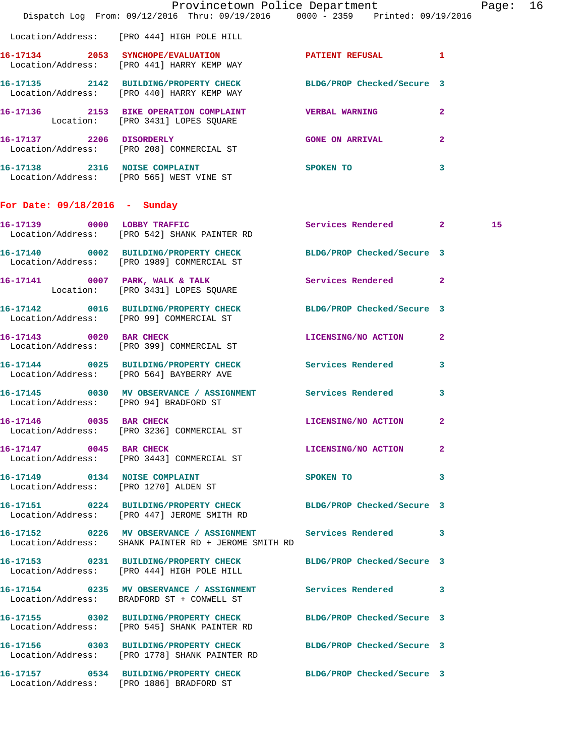|                                        | Dispatch Log From: 09/12/2016 Thru: 09/19/2016 0000 - 2359 Printed: 09/19/2016                                    | Provincetown Police Department |              | Page: 16 |  |
|----------------------------------------|-------------------------------------------------------------------------------------------------------------------|--------------------------------|--------------|----------|--|
|                                        | Location/Address: [PRO 444] HIGH POLE HILL                                                                        |                                |              |          |  |
|                                        | 16-17134 2053 SYNCHOPE/EVALUATION PATIENT REFUSAL 1<br>Location/Address: [PRO 441] HARRY KEMP WAY                 |                                |              |          |  |
|                                        | 16-17135 2142 BUILDING/PROPERTY CHECK BLDG/PROP Checked/Secure 3<br>Location/Address: [PRO 440] HARRY KEMP WAY    |                                |              |          |  |
|                                        | 16-17136 2153 BIKE OPERATION COMPLAINT WERBAL WARNING 2<br>Location: [PRO 3431] LOPES SQUARE                      |                                |              |          |  |
|                                        | 16-17137 2206 DISORDERLY<br>Location/Address: [PRO 208] COMMERCIAL ST                                             | <b>GONE ON ARRIVAL</b>         | $\mathbf{2}$ |          |  |
|                                        | 16-17138 2316 NOISE COMPLAINT<br>Location/Address: [PRO 565] WEST VINE ST                                         | <b>SPOKEN TO</b>               | 3            |          |  |
| For Date: $09/18/2016$ - Sunday        |                                                                                                                   |                                |              |          |  |
|                                        | 16-17139 0000 LOBBY TRAFFIC<br>Location/Address: [PRO 542] SHANK PAINTER RD                                       | Services Rendered 2            |              | 15       |  |
|                                        | 16-17140 0002 BUILDING/PROPERTY CHECK BLDG/PROP Checked/Secure 3<br>Location/Address: [PRO 1989] COMMERCIAL ST    |                                |              |          |  |
|                                        | 16-17141 0007 PARK, WALK & TALK Services Rendered 2<br>Location: [PRO 3431] LOPES SQUARE                          |                                |              |          |  |
|                                        | 16-17142 0016 BUILDING/PROPERTY CHECK BLDG/PROP Checked/Secure 3<br>Location/Address: [PRO 99] COMMERCIAL ST      |                                |              |          |  |
|                                        | 16-17143 0020 BAR CHECK<br>Location/Address: [PRO 399] COMMERCIAL ST                                              | LICENSING/NO ACTION 2          |              |          |  |
|                                        | 16-17144 0025 BUILDING/PROPERTY CHECK Services Rendered 3<br>Location/Address: [PRO 564] BAYBERRY AVE             |                                |              |          |  |
| Location/Address: [PRO 94] BRADFORD ST | 16-17145 0030 MV OBSERVANCE / ASSIGNMENT Services Rendered                                                        |                                | 3            |          |  |
| 16-17146 0035 BAR CHECK                | Location/Address: [PRO 3236] COMMERCIAL ST                                                                        | LICENSING/NO ACTION 2          |              |          |  |
| 16-17147 0045 BAR CHECK                | Location/Address: [PRO 3443] COMMERCIAL ST                                                                        | LICENSING/NO ACTION 2          |              |          |  |
|                                        | 16-17149 0134 NOISE COMPLAINT<br>Location/Address: [PRO 1270] ALDEN ST                                            | SPOKEN TO                      | $\sim$ 3     |          |  |
|                                        | 16-17151 0224 BUILDING/PROPERTY CHECK BLDG/PROP Checked/Secure 3<br>Location/Address: [PRO 447] JEROME SMITH RD   |                                |              |          |  |
|                                        | 16-17152 0226 MV OBSERVANCE / ASSIGNMENT<br>Location/Address: SHANK PAINTER RD + JEROME SMITH RD                  | Services Rendered 3            |              |          |  |
|                                        | 16-17153 0231 BUILDING/PROPERTY CHECK BLDG/PROP Checked/Secure 3<br>Location/Address: [PRO 444] HIGH POLE HILL    |                                |              |          |  |
|                                        | 16-17154 0235 MV OBSERVANCE / ASSIGNMENT Services Rendered 3<br>Location/Address: BRADFORD ST + CONWELL ST        |                                |              |          |  |
|                                        | 16-17155 0302 BUILDING/PROPERTY CHECK BLDG/PROP Checked/Secure 3<br>Location/Address: [PRO 545] SHANK PAINTER RD  |                                |              |          |  |
|                                        | 16-17156 0303 BUILDING/PROPERTY CHECK BLDG/PROP Checked/Secure 3<br>Location/Address: [PRO 1778] SHANK PAINTER RD |                                |              |          |  |
|                                        | 16-17157 0534 BUILDING/PROPERTY CHECK BLDG/PROP Checked/Secure 3<br>Location/Address: [PRO 1886] BRADFORD ST      |                                |              |          |  |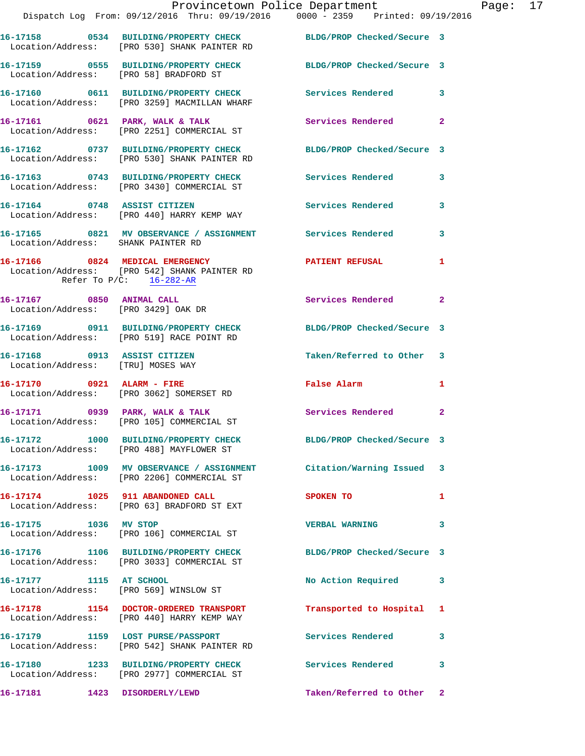|                                                                   | Provincetown Police Department<br>Dispatch Log From: 09/12/2016 Thru: 09/19/2016               0000 - 2359                Printed: 09/19/2016 |                            |                |
|-------------------------------------------------------------------|-----------------------------------------------------------------------------------------------------------------------------------------------|----------------------------|----------------|
|                                                                   | 16-17158 0534 BUILDING/PROPERTY CHECK BLDG/PROP Checked/Secure 3<br>Location/Address: [PRO 530] SHANK PAINTER RD                              |                            |                |
|                                                                   | 16-17159 0555 BUILDING/PROPERTY CHECK<br>Location/Address: [PRO 58] BRADFORD ST                                                               | BLDG/PROP Checked/Secure 3 |                |
|                                                                   | 16-17160 0611 BUILDING/PROPERTY CHECK Services Rendered<br>Location/Address: [PRO 3259] MACMILLAN WHARF                                       |                            | 3              |
|                                                                   | 16-17161 0621 PARK, WALK & TALK<br>Location/Address: [PRO 2251] COMMERCIAL ST                                                                 | <b>Services Rendered</b>   | $\overline{2}$ |
|                                                                   | 16-17162 0737 BUILDING/PROPERTY CHECK BLDG/PROP Checked/Secure 3<br>Location/Address: [PRO 530] SHANK PAINTER RD                              |                            |                |
|                                                                   | 16-17163 0743 BUILDING/PROPERTY CHECK Services Rendered<br>Location/Address: [PRO 3430] COMMERCIAL ST                                         |                            | 3              |
|                                                                   | 16-17164 0748 ASSIST CITIZEN<br>Location/Address: [PRO 440] HARRY KEMP WAY                                                                    | Services Rendered          | 3              |
| Location/Address: SHANK PAINTER RD                                | 16-17165 0821 MV OBSERVANCE / ASSIGNMENT Services Rendered                                                                                    |                            | 3              |
|                                                                   | 16-17166 0824 MEDICAL EMERGENCY<br>Location/Address: [PRO 542] SHANK PAINTER RD<br>Refer To $P/C$ : 16-282-AR                                 | <b>PATIENT REFUSAL</b>     | 1              |
| 16-17167 0850 ANIMAL CALL<br>Location/Address: [PRO 3429] OAK DR  |                                                                                                                                               | Services Rendered          | $\mathbf{2}$   |
|                                                                   | 16-17169 0911 BUILDING/PROPERTY CHECK<br>Location/Address: [PRO 519] RACE POINT RD                                                            | BLDG/PROP Checked/Secure 3 |                |
| 16-17168 0913 ASSIST CITIZEN<br>Location/Address: [TRU] MOSES WAY |                                                                                                                                               | Taken/Referred to Other    | -3             |
|                                                                   | 16-17170 0921 ALARM - FIRE<br>Location/Address: [PRO 3062] SOMERSET RD                                                                        | <b>False Alarm</b>         | 1              |
|                                                                   | 16-17171 0939 PARK, WALK & TALK<br>Location/Address: [PRO 105] COMMERCIAL ST                                                                  | Services Rendered          | $\mathbf{2}$   |
|                                                                   | 16-17172 1000 BUILDING/PROPERTY CHECK<br>Location/Address: [PRO 488] MAYFLOWER ST                                                             | BLDG/PROP Checked/Secure 3 |                |
|                                                                   | 16-17173 1009 MV OBSERVANCE / ASSIGNMENT Citation/Warning Issued<br>Location/Address: [PRO 2206] COMMERCIAL ST                                |                            | 3              |
|                                                                   | 16-17174 1025 911 ABANDONED CALL<br>Location/Address: [PRO 63] BRADFORD ST EXT                                                                | SPOKEN TO                  | 1              |
| 16-17175 1036 MV STOP                                             | Location/Address: [PRO 106] COMMERCIAL ST                                                                                                     | <b>VERBAL WARNING</b>      | 3              |
|                                                                   | 16-17176 1106 BUILDING/PROPERTY CHECK<br>Location/Address: [PRO 3033] COMMERCIAL ST                                                           | BLDG/PROP Checked/Secure 3 |                |
| 16-17177 1115 AT SCHOOL                                           | Location/Address: [PRO 569] WINSLOW ST                                                                                                        | No Action Required         | 3              |
|                                                                   | 16-17178 1154 DOCTOR-ORDERED TRANSPORT<br>Location/Address: [PRO 440] HARRY KEMP WAY                                                          | Transported to Hospital    | 1              |
|                                                                   | 16-17179 1159 LOST PURSE/PASSPORT<br>Location/Address: [PRO 542] SHANK PAINTER RD                                                             | Services Rendered          | 3              |
|                                                                   | 16-17180 1233 BUILDING/PROPERTY CHECK<br>Location/Address: [PRO 2977] COMMERCIAL ST                                                           | Services Rendered          | 3              |
| 16-17181 1423 DISORDERLY/LEWD                                     |                                                                                                                                               | Taken/Referred to Other    | $\mathbf{2}$   |

Page: 17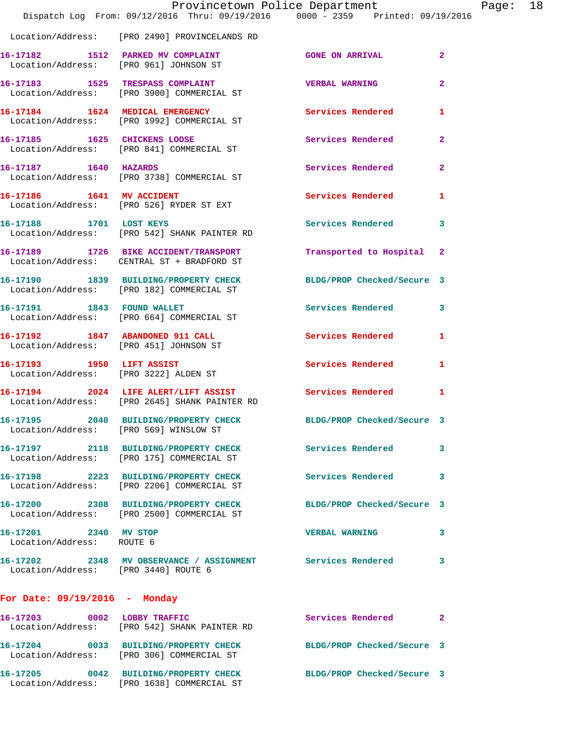|                                                                            | Provincetown Police Department                                                                       |                            |                |
|----------------------------------------------------------------------------|------------------------------------------------------------------------------------------------------|----------------------------|----------------|
|                                                                            | Dispatch Log From: 09/12/2016 Thru: 09/19/2016 0000 - 2359 Printed: 09/19/2016                       |                            |                |
|                                                                            | Location/Address: [PRO 2490] PROVINCELANDS RD                                                        |                            |                |
| Location/Address: [PRO 961] JOHNSON ST                                     | 16-17182 1512 PARKED MV COMPLAINT                                                                    | <b>GONE ON ARRIVAL</b>     | $\overline{a}$ |
|                                                                            | 16-17183 1525 TRESPASS COMPLAINT<br>Location/Address: [PRO 3900] COMMERCIAL ST                       | <b>VERBAL WARNING</b>      | $\mathbf{2}$   |
|                                                                            | 16-17184 1624 MEDICAL EMERGENCY<br>Location/Address: [PRO 1992] COMMERCIAL ST                        | Services Rendered          | 1              |
|                                                                            | 16-17185 1625 CHICKENS LOOSE<br>Location/Address: [PRO 841] COMMERCIAL ST                            | Services Rendered          | $\mathbf{2}$   |
| 16-17187 1640 HAZARDS                                                      | Location/Address: [PRO 3738] COMMERCIAL ST                                                           | Services Rendered          | 2              |
|                                                                            | 16-17186 1641 MV ACCIDENT<br>Location/Address: [PRO 526] RYDER ST EXT                                | Services Rendered          | 1              |
| 16-17188 1701 LOST KEYS                                                    | Location/Address: [PRO 542] SHANK PAINTER RD                                                         | Services Rendered          | 3              |
|                                                                            | 16-17189 1726 BIKE ACCIDENT/TRANSPORT<br>Location/Address: CENTRAL ST + BRADFORD ST                  | Transported to Hospital    | -2             |
|                                                                            | 16-17190 1839 BUILDING/PROPERTY CHECK<br>Location/Address: [PRO 182] COMMERCIAL ST                   | BLDG/PROP Checked/Secure 3 |                |
|                                                                            | 16-17191 1843 FOUND WALLET<br>Location/Address: [PRO 664] COMMERCIAL ST                              | Services Rendered          | 3              |
| 16-17192 1847 ABANDONED 911 CALL<br>Location/Address: [PRO 451] JOHNSON ST |                                                                                                      | Services Rendered          | 1              |
| 16-17193 1950 LIFT ASSIST                                                  | Location/Address: [PRO 3222] ALDEN ST                                                                | Services Rendered          | 1              |
|                                                                            | 16-17194 2024 LIFE ALERT/LIFT ASSIST<br>Location/Address: [PRO 2645] SHANK PAINTER RD                | <b>Services Rendered</b>   | 1              |
| 16-17195 2040<br>Location/Address: [PRO 569] WINSLOW ST                    | <b>BUILDING/PROPERTY CHECK</b>                                                                       | BLDG/PROP Checked/Secure 3 |                |
|                                                                            | 16-17197 2118 BUILDING/PROPERTY CHECK Services Rendered<br>Location/Address: [PRO 175] COMMERCIAL ST |                            | 3              |
|                                                                            | 16-17198 2223 BUILDING/PROPERTY CHECK<br>Location/Address: [PRO 2206] COMMERCIAL ST                  | <b>Services Rendered</b>   | 3              |
|                                                                            | 16-17200 2308 BUILDING/PROPERTY CHECK<br>Location/Address: [PRO 2500] COMMERCIAL ST                  | BLDG/PROP Checked/Secure 3 |                |
| 16-17201 2340 MV STOP<br>Location/Address: ROUTE 6                         |                                                                                                      | <b>VERBAL WARNING</b>      | 3              |
| Location/Address: [PRO 3440] ROUTE 6                                       | 16-17202 2348 MV OBSERVANCE / ASSIGNMENT Services Rendered                                           |                            | 3              |
| For Date: $09/19/2016$ - Monday                                            |                                                                                                      |                            |                |
| 16-17203 0002 LOBBY TRAFFIC                                                | Location/Address: [PRO 542] SHANK PAINTER RD                                                         | Services Rendered          | 2              |
|                                                                            | 16-17204 0033 BUILDING/PROPERTY CHECK<br>Location/Address: [PRO 306] COMMERCIAL ST                   | BLDG/PROP Checked/Secure 3 |                |
|                                                                            | 16-17205 0042 BUILDING/PROPERTY CHECK<br>Location/Address: [PRO 1638] COMMERCIAL ST                  | BLDG/PROP Checked/Secure 3 |                |

Page: 18